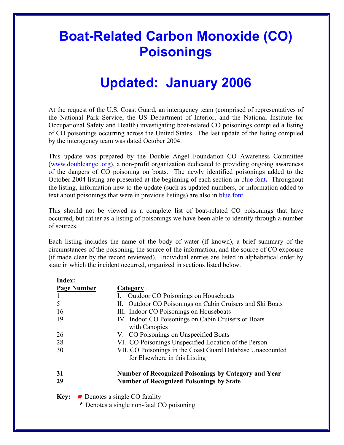# **Boat-Related Carbon Monoxide (CO) Poisonings**

# **Updated: January 2006**

At the request of the U.S. Coast Guard, an interagency team (comprised of representatives of the National Park Service, the US Department of Interior, and the National Institute for Occupational Safety and Health) investigating boat-related CO poisonings compiled a listing of CO poisonings occurring across the United States. The last update of the listing compiled by the interagency team was dated October 2004.

This update was prepared by the Double Angel Foundation CO Awareness Committee [\(www.doubleangel.org](http://www.doubleangel.org/)), a non-profit organization dedicated to providing ongoing awareness of the dangers of CO poisoning on boats. The newly identified poisonings added to the October 2004 listing are presented at the beginning of each section in blue font**.** Throughout the listing, information new to the update (such as updated numbers, or information added to text about poisonings that were in previous listings) are also in blue font.

This should not be viewed as a complete list of boat-related CO poisonings that have occurred, but rather as a listing of poisonings we have been able to identify through a number of sources.

Each listing includes the name of the body of water (if known), a brief summary of the circumstances of the poisoning, the source of the information, and the source of CO exposure (if made clear by the record reviewed). Individual entries are listed in alphabetical order by state in which the incident occurred, organized in sections listed below.

| Index:      |                                                                                                                |
|-------------|----------------------------------------------------------------------------------------------------------------|
|             | <b>Page Number</b><br>Category                                                                                 |
|             | <b>Outdoor CO Poisonings on Houseboats</b>                                                                     |
| 5           | Outdoor CO Poisonings on Cabin Cruisers and Ski Boats<br>П.                                                    |
| 16          | III. Indoor CO Poisonings on Houseboats                                                                        |
| 19          | IV. Indoor CO Poisonings on Cabin Cruisers or Boats<br>with Canopies                                           |
| 26          | V. CO Poisonings on Unspecified Boats                                                                          |
| 28          | VI. CO Poisonings Unspecified Location of the Person                                                           |
| 30          | VII. CO Poisonings in the Coast Guard Database Unaccounted                                                     |
|             | for Elsewhere in this Listing                                                                                  |
| 31<br>29    | <b>Number of Recognized Poisonings by Category and Year</b><br><b>Number of Recognized Poisonings by State</b> |
| <b>Key:</b> | Denotes a single CO fatality                                                                                   |
|             | Denotes a single non-fatal CO poisoning                                                                        |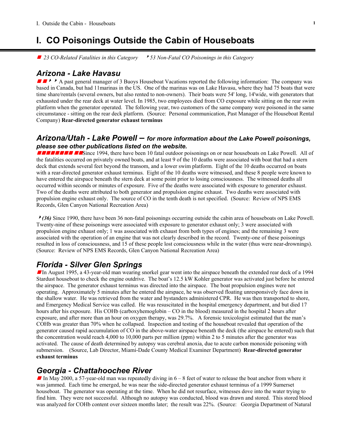# **I. CO Poisonings Outside the Cabin of Houseboats**

■ 23 CO-Related Fatalities in this Category **8** 53 Non-Fatal CO Poisonings in this Category

#### *Arizona - Lake Havasu*

 $\blacksquare \blacktriangleright \blacktriangleright$  A past general manager of 3 Buoys Houseboat Vacations reported the following information: The company was based in Canada, but had 11marinas in the US. One of the marinas was on Lake Havasu, where they had 75 boats that were time share/rentals (several owners, but also rented to non-owners). Their boats were 54' long, 14'wide, with generators that exhausted under the rear deck at water level. In 1985, two employees died from CO exposure while sitting on the rear swim platform when the generator operated. The following year, two customers of the same company were poisoned in the same circumstance - sitting on the rear deck platform. (Source: Personal communication, Past Manager of the Houseboat Rental Company) **Rear-directed generator exhaust terminus** 

#### *Arizona/Utah - Lake Powell – for more information about the Lake Powell poisonings, please see other publications listed on the website.*

gggggggg ggSince 1994, there have been 10 fatal outdoor poisonings on or near houseboats on Lake Powell. All of the fatalities occurred on privately owned boats, and at least 9 of the 10 deaths were associated with boat that had a stern deck that extends several feet beyond the transom, and a lower swim platform. Eight of the 10 deaths occurred on boats with a rear-directed generator exhaust terminus. Eight of the 10 deaths were witnessed, and these 8 people were known to have entered the airspace beneath the stern deck at some point prior to losing consciousness. The witnessed deaths all occurred within seconds or minutes of exposure. Five of the deaths were associated with exposure to generator exhaust. Two of the deaths were attributed to both generator and propulsion engine exhaust. Two deaths were associated with propulsion engine exhaust only. The source of CO in the tenth death is not specified. (Source: Review of NPS EMS Records, Glen Canyon National Recreation Area)

<sup>8</sup>*(36)* Since 1990, there have been 36 non-fatal poisonings occurring outside the cabin area of houseboats on Lake Powell. Twenty-nine of these poisonings were associated with exposure to generator exhaust only; 3 were associated with propulsion engine exhaust only; 1 was associated with exhaust from both types of engines; and the remaining 3 were associated with the operation of an engine that was not clearly described in the record. Twenty-one of these poisonings resulted in loss of consciousness, and 15 of these people lost consciousness while in the water (thus were near-drownings). (Source: Review of NPS EMS Records, Glen Canyon National Recreation Area)

# *Florida - Silver Glen Springs*

In August 1995, a 43-year-old man wearing snorkel gear went into the airspace beneath the extended rear deck of a 1994 Stardust houseboat to check the engine outdrive. The boat's 12.5 kW Kohler generator was activated just before he entered the airspace. The generator exhaust terminus was directed into the airspace. The boat propulsion engines were not operating. Approximately 5 minutes after he entered the airspace, he was observed floating unresponsively face down in the shallow water. He was retrieved from the water and bystanders administered CPR. He was then transported to shore, and Emergency Medical Service was called. He was resuscitated in the hospital emergency department, and but died 17 hours after his exposure. His COHb (carboxyhemoglobin – CO in the blood) measured in the hospital 2 hours after exposure, and after more than an hour on oxygen therapy, was 29.7%. A forensic toxicologist estimated that the man's COHb was greater than 70% when he collapsed. Inspection and testing of the houseboat revealed that operation of the generator caused rapid accumulation of CO in the above-water airspace beneath the deck (the airspace he entered) such that the concentration would reach 4,000 to 10,000 parts per million (ppm) within 2 to 5 minutes after the generator was activated. The cause of death determined by autopsy was cerebral anoxia, due to acute carbon monoxide poisoning with submersion. (Source, Lab Director, Miami-Dade County Medical Examiner Department) **Rear-directed generator exhaust terminus** 

#### *Georgia - Chattahoochee River*

In May 2000, a 57-year-old man was repeatedly diving in  $6 - 8$  feet of water to release the boat anchor from where it was jammed. Each time he emerged, he was near the side-directed generator exhaust terminus of a 1999 Sumerset houseboat. The generator was operating at the time. When he did not resurface, witnesses dove into the water trying to find him. They were not successful. Although no autopsy was conducted, blood was drawn and stored. This stored blood was analyzed for COHb content over sixteen months later; the result was 22%. (Source: Georgia Department of Natural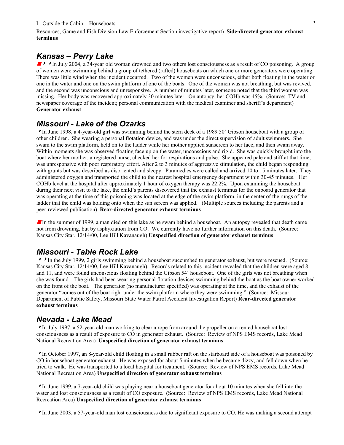#### I. Outside the Cabin - Houseboats **2**

Resources, Game and Fish Division Law Enforcement Section investigative report) **Side-directed generator exhaust terminus**

#### *Kansas – Perry Lake*

**SPARED 2004, a 34-year old woman drowned and two others lost consciousness as a result of CO poisoning.** A group of women were swimming behind a group of tethered (rafted) houseboats on which one or more generators were operating. There was little wind when the incident occurred. Two of the women were unconscious, either both floating in the water or one in the water and one on the swim platform of one of the boats. One of the women was not breathing, but was revived, and the second was unconscious and unresponsive. A number of minutes later, someone noted that the third woman was missing. Her body was recovered approximately 30 minutes later. On autopsy, her COHb was 45%. (Source: TV and newspaper coverage of the incident; personal communication with the medical examiner and sheriff's department) **Generator exhaust** 

#### *Missouri - Lake of the Ozarks*

<sup>8</sup>In June 1998, a 4-year-old girl was swimming behind the stern deck of a 1989 50' Gibson houseboat with a group of other children. She wearing a personal flotation device, and was under the direct supervision of adult swimmers. She swam to the swim platform, held on to the ladder while her mother applied sunscreen to her face, and then swam away. Within moments she was observed floating face up on the water, unconscious and rigid. She was quickly brought into the boat where her mother, a registered nurse, checked her for respirations and pulse. She appeared pale and stiff at that time, was unresponsive with poor respiratory effort. After 2 to 3 minutes of aggressive stimulation, the child began responding with grunts but was described as disoriented and sleepy. Paramedics were called and arrived 10 to 15 minutes later. They administered oxygen and transported the child to the nearest hospital emergency department within 30-45 minutes. Her COHb level at the hospital after approximately 1 hour of oxygen therapy was 22.2%. Upon examining the houseboat during their next visit to the lake, the child's parents discovered that the exhaust terminus for the onboard generator that was operating at the time of this poisoning was located at the edge of the swim platform, in the center of the rungs of the ladder that the child was holding onto when the sun screen was applied. (Multiple sources including the parents and a peer-reviewed publication) **Rear-directed generator exhaust terminus** 

In the summer of 1999, a man died on this lake as he swam behind a houseboat. An autopsy revealed that death came not from drowning, but by asphyxiation from CO. We currently have no further information on this death. (Source: Kansas City Star, 12/14/00, Lee Hill Kavanaugh) **Unspecified direction of generator exhaust terminus** 

#### *Missouri - Table Rock Lake*

<sup>88</sup>In the July 1999, 2 girls swimming behind a houseboat succumbed to generator exhaust, but were rescued. (Source: Kansas City Star, 12/14/00, Lee Hill Kavanaugh). Records related to this incident revealed that the children were aged 8 and 11, and were found unconscious floating behind the Gibson 54' houseboat. One of the girls was not breathing when she was found. The girls had been wearing personal flotation devices swimming behind the boat as the boat owner worked on the front of the boat. The generator (no manufacturer specified) was operating at the time, and the exhaust of the generator "comes out of the boat right under the swim platform where they were swimming." (Source: Missouri Department of Public Safety, Missouri State Water Patrol Accident Investigation Report) **Rear-directed generator exhaust terminus** 

#### *Nevada - Lake Mead*

<sup>8</sup>In July 1997, a 52-year-old man working to clear a rope from around the propeller on a rented houseboat lost consciousness as a result of exposure to CO in generator exhaust. (Source: Review of NPS EMS records, Lake Mead National Recreation Area) **Unspecified direction of generator exhaust terminus** 

<sup>8</sup>In October 1997, an 8-year-old child floating in a small rubber raft on the starboard side of a houseboat was poisoned by CO in houseboat generator exhaust. He was exposed for about 5 minutes when he became dizzy, and fell down when he tried to walk. He was transported to a local hospital for treatment. (Source: Review of NPS EMS records, Lake Mead National Recreation Area) **Unspecified direction of generator exhaust terminus** 

<sup>8</sup>In June 1999, a 7-year-old child was playing near a houseboat generator for about 10 minutes when she fell into the water and lost consciousness as a result of CO exposure. (Source: Review of NPS EMS records, Lake Mead National Recreation Area) **Unspecified direction of generator exhaust terminus** 

<sup>8</sup>In June 2003, a 57-year-old man lost consciousness due to significant exposure to CO. He was making a second attempt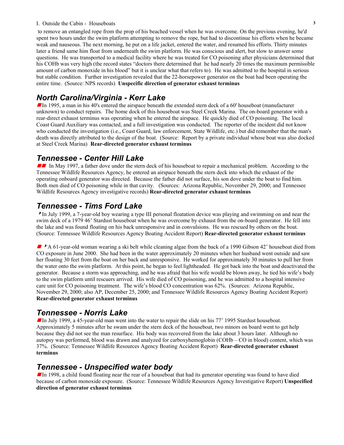#### I. Outside the Cabin - Houseboats **3**

to remove an entangled rope from the prop of his beached vessel when he was overcome. On the previous evening, he'd spent two hours under the swim platform attempting to remove the rope, but had to discontinue his efforts when he became weak and nauseous. The next morning, he put on a life jacket, entered the water, and resumed his efforts. Thirty minutes later a friend same him float from underneath the swim platform. He was conscious and alert, but slow to answer some questions. He was transported to a medical facility where he was treated for CO poisoning after physicians determined that his COHb was very high (the record states "doctors there determined that he had nearly 20 times the maximum permissible amount of carbon monoxide in his blood" but it is unclear what that refers to). He was admitted to the hospital in serious but stable condition. Further investigation revealed that the 22-horsepower generator on the boat had been operating the entire time. (Source: NPS records) **Unspecific direction of generator exhaust terminus** 

# *North Carolina/Virginia - Kerr Lake*

In 1995, a man in his 40's entered the airspace beneath the extended stern deck of a 60' houseboat (manufacturer unknown) to conduct repairs. The home dock of this houseboat was Steel Creek Marina. The on-board generator with a rear-direct exhaust terminus was operating when he entered the airspace. He quickly died of CO poisoning. The local Coast Guard Auxiliary was contacted, and a full investigation was conducted. The reporter of the incident did not know who conducted the investigation (i.e., Coast Guard, law enforcement, State Wildlife, etc.) but did remember that the man's death was directly attributed to the design of the boat. (Source: Report by a private individual whose boat was also docked at Steel Creek Marina) **Rear-directed generator exhaust terminus** 

#### *Tennessee - Center Hill Lake*

In May 1997, a father dove under the stern deck of his houseboat to repair a mechanical problem. According to the Tennessee Wildlife Resources Agency, he entered an airspace beneath the stern deck into which the exhaust of the operating onboard generator was directed. Because the father did not surface, his son dove under the boat to find him. Both men died of CO poisoning while in that cavity. (Sources: Arizona Republic, November 29, 2000; and Tennessee Wildlife Resources Agency investigative records) **Rear-directed generator exhaust terminus** 

#### *Tennessee - Tims Ford Lake*

<sup>8</sup>In July 1999, a 7-year-old boy wearing a type III personal floatation device was playing and swimming on and near the swim deck of a 1979 46' Stardust houseboat when he was overcome by exhaust from the on-board generator. He fell into the lake and was found floating on his back unresponsive and in convulsions. He was rescued by others on the boat. (Source: Tennessee Wildlife Resources Agency Boating Accident Report) **Rear-directed generator exhaust terminus**

A 61-year-old woman wearing a ski belt while cleaning algae from the back of a 1990 Gibson 42' houseboat died from CO exposure in June 2000. She had been in the water approximately 20 minutes when her husband went outside and saw her floating 30 feet from the boat on her back and unresponsive. He worked for approximately 30 minutes to pull her from the water onto the swim platform. At this point, he began to feel lightheaded. He got back into the boat and deactivated the generator. Because a storm was approaching, and he was afraid that his wife would be blown away, he tied his wife's body to the swim platform until rescuers arrived. His wife died of CO poisoning, and he was admitted to a hospital intensive care unit for CO poisoning treatment. The wife's blood CO concentration was 62%. (Sources: Arizona Republic, November 29, 2000; also AP, December 25, 2000; and Tennessee Wildlife Resources Agency Boating Accident Report) **Rear-directed generator exhaust terminus** 

#### *Tennessee - Norris Lake*

In July 1999, a 45-year-old man went into the water to repair the slide on his 77' 1995 Stardust houseboat. Approximately 5 minutes after he swam under the stern deck of the houseboat, two minors on board went to get help because they did not see the man resurface. His body was recovered from the lake about 3 hours later. Although no autopsy was performed, blood was drawn and analyzed for carboxyhemoglobin (COHb – CO in blood) content, which was 37%. (Source: Tennessee Wildlife Resources Agency Boating Accident Report) **Rear-directed generator exhaust terminus**

#### *Tennessee - Unspecified water body*

In 1998, a child found floating near the rear of a houseboat that had its generator operating was found to have died because of carbon monoxide exposure. (Source: Tennessee Wildlife Resources Agency Investigative Report) **Unspecified direction of generator exhaust terminus**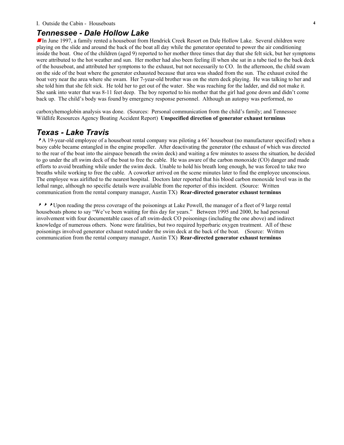#### I. Outside the Cabin - Houseboats **4**

#### *Tennessee - Dale Hollow Lake*

In June 1997, a family rented a houseboat from Hendrick Creek Resort on Dale Hollow Lake. Several children were playing on the slide and around the back of the boat all day while the generator operated to power the air conditioning inside the boat. One of the children (aged 9) reported to her mother three times that day that she felt sick, but her symptoms were attributed to the hot weather and sun. Her mother had also been feeling ill when she sat in a tube tied to the back deck of the houseboat, and attributed her symptoms to the exhaust, but not necessarily to CO. In the afternoon, the child swam on the side of the boat where the generator exhausted because that area was shaded from the sun. The exhaust exited the boat very near the area where she swam. Her 7-year-old brother was on the stern deck playing. He was talking to her and she told him that she felt sick. He told her to get out of the water. She was reaching for the ladder, and did not make it. She sank into water that was 8-11 feet deep. The boy reported to his mother that the girl had gone down and didn't come back up. The child's body was found by emergency response personnel. Although an autopsy was performed, no

carboxyhemoglobin analysis was done. (Sources: Personal communication from the child's family; and Tennessee Wildlife Resources Agency Boating Accident Report) **Unspecified direction of generator exhaust terminus** 

#### *Texas - Lake Travis*

A 19-year-old employee of a houseboat rental company was piloting a 66' houseboat (no manufacturer specified) when a buoy cable became entangled in the engine propeller. After deactivating the generator (the exhaust of which was directed to the rear of the boat into the airspace beneath the swim deck) and waiting a few minutes to assess the situation, he decided to go under the aft swim deck of the boat to free the cable. He was aware of the carbon monoxide (CO) danger and made efforts to avoid breathing while under the swim deck. Unable to hold his breath long enough, he was forced to take two breaths while working to free the cable. A coworker arrived on the scene minutes later to find the employee unconscious. The employee was airlifted to the nearest hospital. Doctors later reported that his blood carbon monoxide level was in the lethal range, although no specific details were available from the reporter of this incident. (Source: Written communication from the rental company manager, Austin TX) **Rear-directed generator exhaust terminus** 

<sup>888</sup>Upon reading the press coverage of the poisonings at Lake Powell, the manager of a fleet of 9 large rental houseboats phone to say "We've been waiting for this day for years." Between 1995 and 2000, he had personal involvement with four documentable cases of aft swim-deck CO poisonings (including the one above) and indirect knowledge of numerous others. None were fatalities, but two required hyperbaric oxygen treatment. All of these poisonings involved generator exhaust routed under the swim deck at the back of the boat. (Source: Written communication from the rental company manager, Austin TX) **Rear-directed generator exhaust terminus**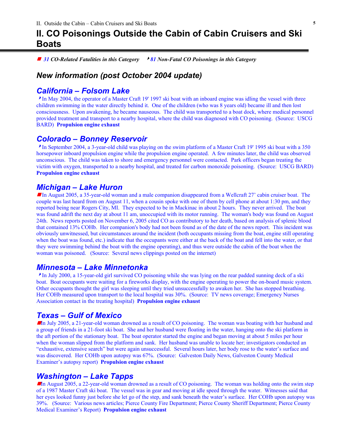# **II. CO Poisonings Outside the Cabin of Cabin Cruisers and Ski Boats**

■ 31 CO-Related Fatalities in this Category **8**81 Non-Fatal CO Poisonings in this Category

# *New information (post October 2004 update)*

# *California – Folsom Lake*

<sup>8</sup>In May 2004, the operator of a Master Craft 19' 1997 ski boat with an inboard engine was idling the vessel with three children swimming in the water directly behind it. One of the children (who was 8 years old) became ill and then lost consciousness. Upon awakening, he became nauseous. The child was transported to a boat dock, where medical personnel provided treatment and transport to a nearby hospital, where the child was diagnosed with CO poisoning. (Source: USCG BARD) **Propulsion engine exhaust** 

#### *Colorado – Bonney Reservoir*

<sup>8</sup>In September 2004, a 3-year-old child was playing on the swim platform of a Master Craft 19' 1995 ski boat with a 350 horsepower inboard propulsion engine while the propulsion engine operated. A few minutes later, the child was observed unconscious. The child was taken to shore and emergency personnel were contacted. Park officers began treating the victim with oxygen, transported to a nearby hospital, and treated for carbon monoxide poisoning. (Source: USCG BARD) **Propulsion engine exhaust**

#### *Michigan – Lake Huron*

In August 2005, a 35-year-old woman and a male companion disappeared from a Wellcraft 27' cabin cruiser boat. The couple was last heard from on August 11, when a cousin spoke with one of them by cell phone at about 1:30 pm, and they reported being near Rogers City, MI. They expected to be in Mackinac in about 2 hours. They never arrived. The boat was found adrift the next day at about 11 am, unoccupied with its motor running. The woman's body was found on August 24th. News reports posted on November 6, 2005 cited CO as contributory to her death, based on analysis of splenic blood that contained 13% COHb. Her companion's body had not been found as of the date of the news report. This incident was obviously unwitnessed, but circumstances around the incident (both occupants missing from the boat, engine still operating when the boat was found, etc.) indicate that the occupants were either at the back of the boat and fell into the water, or that they were swimming behind the boat with the engine operating), and thus were outside the cabin of the boat when the woman was poisoned. (Source: Several news clippings posted on the internet)

#### *Minnesota – Lake Minnetonka*

<sup>8</sup>In July 2000, a 15-year-old girl survived CO poisoning while she was lying on the rear padded sunning deck of a ski boat. Boat occupants were waiting for a fireworks display, with the engine operating to power the on-board music system. Other occupants thought the girl was sleeping until they tried unsuccessfully to awaken her. She has stopped breathing. Her COHb measured upon transport to the local hospital was 30%. (Source: TV news coverage; Emergency Nurses Association contact in the treating hospital) **Propulsion engine exhaust** 

#### *Texas – Gulf of Mexico*

In July 2005, a 21-year-old woman drowned as a result of CO poisoning. The woman was boating with her husband and a group of friends in a 21-foot ski boat. She and her husband were floating in the water, hanging onto the ski platform in the aft portion of the stationary boat. The boat operator started the engine and began moving at about 5 miles per hour when the woman slipped from the platform and sank. Her husband was unable to locate her; investigators conducted an "exhaustive, extensive search" but were again unsuccessful. Several hours later, her body rose to the water's surface and was discovered. Her COHb upon autopsy was 67%. (Source: Galveston Daily News, Galveston County Medical Examiner's autopsy report) **Propulsion engine exhaust** 

#### *Washington – Lake Tapps*

In August 2005, a 22-year-old woman drowned as a result of CO poisoning. The woman was holding onto the swim step of a 1987 Master Craft ski boat. The vessel was in gear and moving at idle speed through the water. Witnesses said that her eyes looked funny just before she let go of the step, and sank beneath the water's surface. Her COHb upon autopsy was 39%. (Source: Various news articles; Pierce County Fire Department; Pierce County Sheriff Department; Pierce County Medical Examiner's Report) **Propulsion engine exhaust**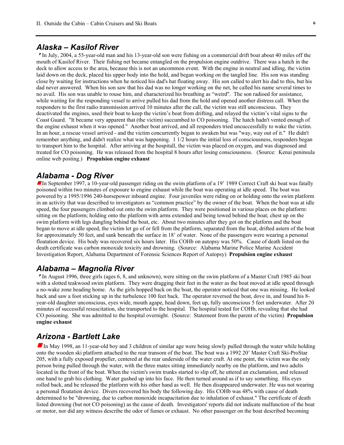#### *Alaska – Kasilof River*

<sup>8</sup>In July, 2004, a 55-year-old man and his 13-year-old son were fishing on a commercial drift boat about 40 miles off the mouth of Kasilof River. Their fishing net became entangled on the propulsion engine outdrive. There was a hatch in the deck to allow access to the area, because this is not an uncommon event. With the engine in neutral and idling, the victim laid down on the deck, placed his upper body into the hold, and began working on the tangled line. His son was standing close by waiting for instructions when he noticed his dad's hat floating away. His son called to alert his dad to this, but his dad never answered. When his son saw that his dad was no longer working on the net, he called his name several times to no avail. His son was unable to rouse him, and characterized his breathing as "weird". The son radioed for assistance, while waiting for the responding vessel to arrive pulled his dad from the hold and opened another distress call. When the responders to the first radio transmission arrived 10 minutes after the call, the victim was still unconscious. They deactivated the engines, used their boat to keep the victim's boat from drifting, and relayed the victim's vital signs to the Coast Guard. "It became very apparent that (the victim) succumbed to CO poisoning. The hatch hadn't vented enough of the engine exhaust when it was opened." Another boat arrived, and all responders tried uncuccessfully to wake the victim. In an hour, a rescue vessel arrived - and the victim concurrently began to awaken but was "way, way out of it." He didn't remember anything, and didn't realize what was happening. 1 1/2 hours the initial loss of consciousness, responders began to transport him to the hospital. After arriving at the hospitall, the victim was placed on oxygen, and was diagnosed and treated for CO poisoning. He was released from the hospital 8 hours after losing consciousness. (Source: Kenai peninsula online web posting.) **Propulsion engine exhaust**

#### *Alabama - Dog River*

In September 1997, a 10-year-old passenger riding on the swim platform of a 19' 1989 Correct Craft ski boat was fatally poisoned within two minutes of exposure to engine exhaust while the boat was operating at idle speed. The boat was powered by a 1995/1996 240-horsepower inboard engine. Four juveniles were riding on or holding onto the swim platform in an activity that was described to investigators as "common practice" by the owner of the boat. When the boat was at idle speed, the four passengers climbed out onto the swim platform. They were positioned in various places on the platform: sitting on the platform; holding onto the platform with arms extended and being towed behind the boat; chest up on the swim platform with legs dangling behind the boat, etc. About two minutes after they got on the platform and the boat began to move at idle speed, the victim let go of or fell from the platform, separated from the boat, drifted astern of the boat for approximately 50 feet, and sank beneath the surface in 18' of water. None of the passengers were wearing a personal floatation device. His body was recovered six hours later. His COHb on autopsy was 50%. Cause of death listed on the death certificate was carbon monoxide toxicity and drowning. (Source: Alabama Marine Police Marine Accident Investigation Report, Alabama Department of Forensic Sciences Report of Autopsy) **Propulsion engine exhaust** 

#### *Alabama – Magnolia River*

<sup>8</sup>In August 1996, three girls (ages 6, 8, and unknown), were sitting on the swim platform of a Master Craft 1985 ski boat with a slotted teakwood swim platform. They were dragging their feet in the water as the boat moved at idle speed through a no-wake zone heading home. As the girls hopped back on the boat, the operator noticed that one was missing. He looked back and saw a foot sticking up in the turbulence 100 feet back. The operator reversed the boat, dove in, and found his 8 year-old daughter unconscious, eyes wide, mouth agape, head down, feet up, fully unconscious 5 feet underwater. After 20 minutes of successful resuscitation, she transported to the hospital. The hospital tested for COHb, revealing that she had CO poisoning. She was admitted to the hospital overnight. (Source: Statement from the parent of the victim) **Propulsion engine exhaust**

#### *Arizona - Bartlett Lake*

In May 1998, an 11-year-old boy and 3 children of similar age were being slowly pulled through the water while holding onto the wooden ski platform attached to the rear transom of the boat. The boat was a 1992 20' Master Craft Ski-ProStar 205, with a fully exposed propeller, centered at the rear underside of the water craft. At one point, the victim was the only person being pulled through the water, with the three mates sitting immediately nearby on the platform, and two adults located in the front of the boat. When the victim's swim trunks started to slip off, he uttered an exclamation, and released one hand to grab his clothing. Water gushed up into his face. He then turned around as if to say something. His eyes rolled back, and he released the platform with his other hand as well. He then disappeared underwater. He was not wearing a personal floatation device. Divers recovered his body the following day. His COHb was 48% with cause of death determined to be "drowning, due to carbon monoxide incapacitation due to inhalation of exhaust." The certificate of death listed drowning (but not CO poisoning) as the cause of death. Investigators' reports did not indicate malfunction of the boat or motor, nor did any witness describe the odor of fumes or exhaust. No other passenger on the boat described becoming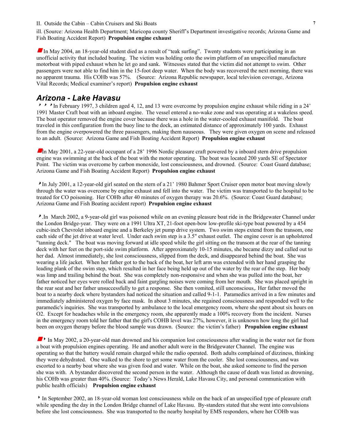ill. (Source: Arizona Health Department; Maricopa county Sheriff's Department investigative records; Arizona Game and Fish Boating Accident Report) **Propulsion engine exhaust**

In May 2004, an 18-year-old student died as a result of "teak surfing". Twenty students were participating in an unofficial activity that included boating. The victim was holding onto the swim platform of an unspecified manufacture motorboat with piped exhaust when he let go and sank. Witnesses stated that the victim did not attempt to swim. Other passengers were not able to find him in the 15-foot deep water. When the body was recovered the next morning, there was no apparent trauma. His COHb was 57%. (Source: Arizona Republic newspaper, local television coverage, Arizona Vital Records; Medical examiner's report) **Propulsion engine exhaust** 

#### *Arizona - Lake Havasu*

 $\star \star$  In February 1997, 3 children aged 4, 12, and 13 were overcome by propulsion engine exhaust while riding in a 24' 1991 Master Craft boat with an inboard engine. The vessel entered a no-wake zone and was operating at a wakeless speed. The boat operator removed the engine cover because there was a hole in the water-cooled exhaust manifold. The boat traveled in this configuration from the buoy line to the dock, an estimated distance of approximately 100 yards. Exhaust from the engine overpowered the three passengers, making them nauseous. They were given oxygen on scene and released to an adult. (Source: Arizona Game and Fish Boating Accident Report) **Propulsion engine exhaust** 

In May 2001, a 22-year-old occupant of a 28' 1996 Nordic pleasure craft powered by a inboard stern drive propulsion engine was swimming at the back of the boat with the motor operating. The boat was located 200 yards SE of Spectator Point. The victim was overcome by carbon monoxide, lost consciousness, and drowned. (Source: Coast Guard database; Arizona Game and Fish Boating Accident Report) **Propulsion engine exhaust**

<sup>8</sup>In July 2001, a 12-year-old girl seated on the stern of a 21' 1980 Bahmer Sport Cruiser open motor boat moving slowly through the water was overcome by engine exhaust and fell into the water. The victim was transported to the hospital to be treated for CO poisoning. Her COHb after 40 minutes of oxygen therapy was 20.6%. (Source: Coast Guard database; Arizona Game and Fish Boating accident report) **Propulsion engine exhaust** 

<sup>8</sup>.In March 2002, a 9-year-old girl was poisoned while on an evening pleasure boat ride in the Bridgewater Channel under the London Bridge-year. They were on a 1991 Ultra XT, 21-foot open-bow low-profile ski-type boat powered by a 454 cubic-inch Chevrolet inboard engine and a Berkeley jet pump drive system. Two swim steps extend from the transom, one each side of the jet drive at water level. Under each swim step is a 3.5" exhaust outlet. The engine cover is an upholstered "tanning deck." The boat was moving forward at idle speed while the girl sitting on the transom at the rear of the tanning deck with her feet on the port-side swim platform. After approximately 10-15 minutes, she became dizzy and called out to her dad. Almost immediately, she lost consciousness, slipped from the deck, and disappeared behind the boat. She was wearing a life jacket. When her father got to the back of the boat, her left arm was extended with her hand grasping the leading plank of the swim step, which resulted in her face being held up out of the water by the rear of the step. Her body was limp and trailing behind the boat. She was completely non-responsive and when she was pulled into the boat, her father noticed her eyes were rolled back and faint gurgling noises were coming from her mouth. She was placed upright in the rear seat and her father unsuccessfully to get a response. She then vomited, still unconscious,. Her father moved the boat to a nearby dock where bystanders had noticed the situation and called 9-1-1. Paramedics arrived in a few minutes and immediately administered oxygen by face mask. In about 3 minutes, she regained consciousness and responded well to the paramedic's inquiries. She was transported by ambulance to the local emergency room, where she spent about six hours on O2. Except for headaches while in the emergency room, she apparently made a 100% recovery from the incident. Nurses in the emergency room told her father that the girl's COHB level was 27%, however, it is unknown how long the girl had been on oxygen therapy before the blood sample was drawn. (Source: the victim's father) **Propulsion engine exhaust** 

In May 2002, a 20-year-old man drowned and his companion lost consciousness after wading in the water not far from a boat with propulsion engines operating. He and another adult were in the Bridgewater Channel. The engine was operating so that the battery would remain charged while the radio operated. Both adults complained of dizziness, thinking they were dehydrated. One walked to the shore to get some water from the cooler. She lost consciousness, and was escorted to a nearby boat where she was given food and water. While on the boat, she asked someone to find the person she was with. A bystander discovered the second person in the water. Although the cause of death was listed as drowning, his COHb was greater than 40%. (Source: Today's News Herald, Lake Havasu City, and personal communication with public health officials) **Propulsion engine exhaust** 

8In September 2002, an 18-year-old woman lost consciousness while on the back of an unspecified type of pleasure craft while spending the day in the London Bridge channel of Lake Havasu. By-standers stated that she went into convulsions before she lost consciousness. She was transported to the nearby hospital by EMS responders, where her COHb was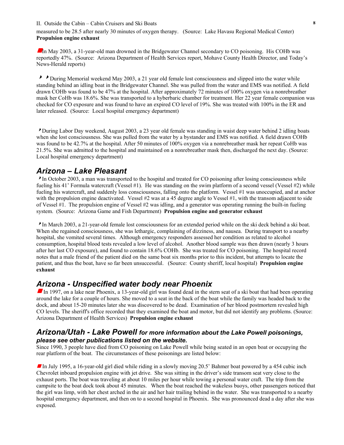measured to be 28.5 after nearly 30 minutes of oxygen therapy. (Source: Lake Havasu Regional Medical Center) **Propulsion engine exhaust**

 $\blacksquare$ In May 2003, a 31-year-old man drowned in the Bridgewater Channel secondary to CO poisoning. His COHb was reportedly 47%. (Source: Arizona Department of Health Services report, Mohave County Health Director, and Today's News-Herald reports)

During Memorial weekend May 2003, a 21 year old female lost consciousness and slipped into the water while standing behind an idling boat in the Bridgewater Channel. She was pulled from the water and EMS was notified. A field drawn COHb was found to be 47% at the hospital. After approximately 72 minutes of 100% oxygen via a nonrebreather mask her CoHb was 18.6%. She was transported to a hyberbaric chamber for treatment. Her 22 year female companion was checked for CO exposure and was found to have an expired CO level of 19%. She was treated with 100% in the ER and later released. (Source: Local hospital emergency department)

<sup>8</sup>During Labor Day weekend, August 2003, a 23 year old female was standing in waist deep water behind 2 idling boats when she lost consciousness. She was pulled from the water by a bystander and EMS was notified. A field drawn COHb was found to be 42.7% at the hospital. After 50 minutes of 100% oxygen via a nonrebreather mask her repeat CoHb was 21.5%. She was admitted to the hospital and maintained on a nonrebreather mask then, discharged the next day. (Source: Local hospital emergency department)

#### *Arizona – Lake Pleasant*

<sup>8</sup>In October 2003, a man was transported to the hospital and treated for CO poisoning after losing consciousness while fueling his 41' Formula watercraft (Vessel #1). He was standing on the swim platform of a second vessel (Vessel #2) while fueling his watercraft, and suddenly loss consciousness, falling onto the platform. Vessel #1 was unoccupied, and at anchor with the propulsion engine deactivated. Vessel #2 was at a 45 degree angle to Vessel #1, with the transom adjacent to side of Vessel #1. The propulsion engine of Vessel #2 was idling, and a generator was operating running the built-in fueling system. (Source: Arizona Game and Fish Department) **Propulsion engine and generator exhaust**

<sup>8</sup>In March 2003, a 21-year-old female lost consciousness for an extended period while on the ski deck behind a ski boat. When she regained consciousness, she was lethargic, complaining of dizziness, and nausea. During transport to a nearby hospital, she vomited several times. Although emergency responders assessed her condition as related to alcohol consumption, hospital blood tests revealed a low level of alcohol. Another blood sample was then drawn (nearly 3 hours after her last CO exposure), and found to contain 18.6% COHb. She was treated for CO poisoning. The hospital record notes that a male friend of the patient died on the same boat six months prior to this incident, but attempts to locate the patient, and thus the boat, have so far been unsuccessful. (Source: County sheriff, local hospital) **Propulsion engine exhaust**

### *Arizona - Unspecified water body near Phoenix*

In 1997, on a lake near Phoenix, a 13-year-old girl was found dead in the stern seat of a ski boat that had been operating around the lake for a couple of hours. She moved to a seat in the back of the boat while the family was headed back to the dock, and about 15-20 minutes later she was discovered to be dead. Examination of her blood postmortem revealed high CO levels. The sheriff's office recorded that they examined the boat and motor, but did not identify any problems. (Source: Arizona Department of Health Services) **Propulsion engine exhaust** 

#### *Arizona/Utah - Lake Powell for more information about the Lake Powell poisonings, please see other publications listed on the website***.**

Since 1990, 3 people have died from CO poisoning on Lake Powell while being seated in an open boat or occupying the rear platform of the boat. The circumstances of these poisonings are listed below:

In July 1995, a 16-year-old girl died while riding in a slowly moving 20.5' Bahmer boat powered by a 454 cubic inch Chevrolet inboard propulsion engine with jet drive. She was sitting in the driver's side transom seat very close to the exhaust ports. The boat was traveling at about 10 miles per hour while towing a personal water craft. The trip from the campsite to the boat dock took about 45 minutes. When the boat reached the wakeless buoys, other passengers noticed that the girl was limp, with her chest arched in the air and her hair trailing behind in the water. She was transported to a nearby hospital emergency department, and then on to a second hospital in Phoenix. She was pronounced dead a day after she was exposed.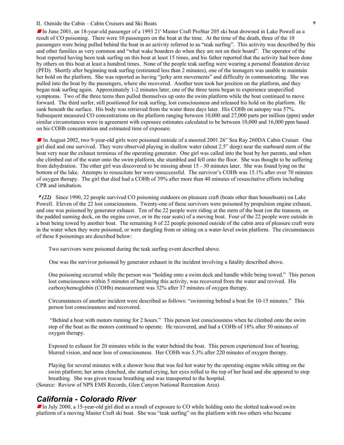In June 2001, an 18-year-old passenger of a 1993 21' Master Craft ProStar 205 ski boat drowned in Lake Powell as a result of CO poisoning. There were 10 passengers on the boat at the time. At the time of the death, three of the 10 passengers were being pulled behind the boat in an activity referred to as "teak surfing". This activity was described by this and other families as very common and "what wake boarders do when they are not on their board". The operator of the boat reported having been teak surfing on this boat at least 15 times, and his father reported that the activity had been done by others on this boat at least a hundred times. None of the people teak surfing were wearing a personal floatation device (PFD). Shortly after beginning teak surfing (estimated less than 2 minutes), one of the teenagers was unable to maintain her hold on the platform. She was reported as having "jerky arm movements" and difficulty in communicating. She was pulled into the boat by the passengers, where she recovered. Another teen took her position on the platform, and they began teak surfing again. Approximately 1-2 minutes later, one of the three teens began to experience unspecified symptoms. Two of the three teens then pulled themselves up onto the swim platform while the boat continued to move forward. The third surfer, still positioned for teak surfing, lost consciousness and released his hold on the platform. He sank beneath the surface. His body was retrieved from the water three days later. His COHb on autopsy was 57%. Subsequent measured CO concentrations on the platform ranging between 10,000 and 27,000 parts per million (ppm) under similar circumstances were in agreement with exposure estimates calculated to be between 10,000 and 16,000 ppm based on his COHb concentration and estimated time of exposure.

In August 2002, two 9-year-old girls were poisoned outside of a moored 2001 26" Sea Ray 260DA Cabin Cruiser. One girl died and one survived. They were observed playing in shallow water (about 2.5" deep) near the starboard stern of the boat very near the exhaust terminus of the operating generator. One girl was called into the boat by her parents, and when she climbed out of the water onto the swim platform, she stumbled and fell onto the floor. She was thought to be suffering from dehydration. The other girl was discovered to be missing about 15 - 30 minutes later. She was found lying on the bottom of the lake. Attempts to resuscitate her were unsuccessful. The survivor's COHb was 15.1% after over 70 minutes of oxygen therapy. The girl that died had a COHb of 39% after more than 40 minutes of resuscitative efforts including CPR and intubation.

<sup>2</sup>(22) Since 1990, 22 people survived CO poisoning outdoors on pleasure craft (boats other than houseboats) on Lake Powell. Eleven of the 22 lost consciousness. Twenty-one of these survivors were poisoned by propulsion engine exhaust, and one was poisoned by generator exhaust. Ten of the 22 people were riding at the stern of the boat (on the transom, on the padded sunning deck, on the engine cover, or in the rear seats) of a moving boat. Four of the 22 people were outside in a boat being towed by another boat. The remaining 8 of 22 people poisoned outside of the cabin area of pleasure craft were in the water when they were poisoned, or were dangling from or sitting on a water-level swim platform. The circumstances of these 8 poisonings are described below:

Two survivors were poisoned during the teak surfing event described above.

One was the survivor poisoned by generator exhaust in the incident involving a fatality described above.

One poisoning occurred while the person was "holding onto a swim deck and handle while being towed." This person lost consciousness within 5 minutes of beginning this activity, was recovered from the water and revived. His carboxyhemoglobin (COHb) measurement was 32% after 37 minutes of oxygen therapy.

Circumstances of another incident were described as follows: "swimming behind a boat for 10-15 minutes." This person lost consciousness and recovered.

 "Behind a boat with motors running for 2 hours." This person lost consciousness when he climbed onto the swim step of the boat as the motors continued to operate. He recovered, and had a COHb of 18% after 50 minutes of oxygen therapy.

Exposed to exhaust for 20 minutes while in the water behind the boat. This person experienced loss of hearing, blurred vision, and near loss of consciousness. Her COHb was 5.3% after 220 minutes of oxygen therapy.

Playing for several minutes with a shower hose that was fed hot water by the operating engine while sitting on the swim platform; her arms clenched, she started crying, her eyes rolled to the top of her head and she appeared to stop breathing. She was given rescue breathing and was transported to the hospital. (Source: Review of NPS EMS Records, Glen Canyon National Recreation Area)

#### *California - Colorado River*

In July 2000, a 15-year-old girl died as a result of exposure to CO while holding onto the slotted teakwood swim platform of a moving Master Craft ski boat. She was "teak surfing" on the platform with two others who became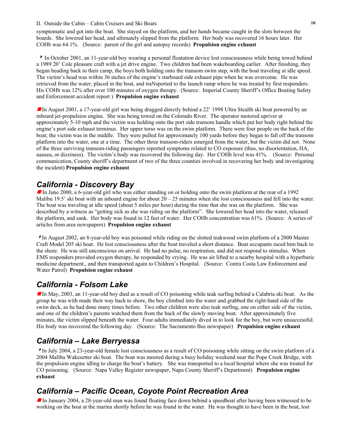symptomatic and got into the boat. She stayed on the platform, and her hands became caught in the slots between the boards. She lowered her head, and ultimately slipped from the platform. Her body was recovered 16 hours later. Her COHb was 64.1%. (Source: parent of the girl and autopsy records) **Propulsion engine exhaust** 

<sup>8</sup> In October 2001, an 11-year-old boy wearing a personal floatation device lost consciousness while being towed behind a 1989 20' Cole pleasure craft with a jet drive engine. Two children had been wakeboarding earlier. After finishing, they began heading back to their camp, the boys both holding onto the transom swim step, with the boat traveling at idle speed. The victim's head was within 36 inches of the engine's starboard side exhaust pipe when he was overcome. He was retrieved from the water, placed in the boat, and traNsported to the launch ramp where he was treated by first responders. His COHb was 12% after over 100 minutes of oxygen therapy. (Source: Imperial County Sheriff's Office Boating Safety and Enforcement accident report ) **Propulsion engine exhaust**

**In August 2001, a 17-year-old girl was being dragged directly behind a 22' 1998 Ultra Stealth ski boat powered by an** inboard jet-propulsion engine. She was being towed on the Colorado River. The operator motored upriver at approximately 5-10 mph and the victim was holding onto the port side transom handle which put her body right behind the engine's port side exhaust terminus. Her upper torso was on the swim platform. There were four people on the back of the boat; the victim was in the middle. They were pulled for approximately 100 yards before they began to fall off the transom platform into the water, one at a time. The other three transom-riders emerged from the water, but the victim did not. None of the three surviving transom-riding passengers reported symptoms related to CO exposure (thus, no disorientation, HA, nausea, or dizziness). The victim's body was recovered the following day. Her COHb level was 41%. (Source: Personal communication, County sheriff's department of two of the three counties involved in recovering her body and investigating the incident) **Propulsion engine exhaust** 

# *California - Discovery Bay*

In June 2000, a 6-year-old girl who was either standing on or holding onto the swim platform at the rear of a 1992 Malibu 19.5' ski boat with an inboard engine for about 20 – 25 minutes when she lost consciousness and fell into the water. The boat was traveling at idle speed (about 5 miles per hour) during the time that she was on the platform. She was described by a witness as "getting sick as she was riding on the platform". She lowered her head into the water, released the platform, and sank. Her body was found in 12 feet of water. Her COHb concentration was 61%. (Source: A series of articles from area newspapers) **Propulsion engine exhaust**

<sup>8</sup>In August 2002, an 8-year-old boy was poisoned while riding on the slotted teakwood swim platform of a 2000 Master Craft Model 205 ski boat. He lost consciousness after the boat traveled a short distance. Boat occupants raced him back to the shore. He was still unconscious on arrival. He had no pulse, no respiration, and did not respond to stimulus. When EMS responders provided oxygen therapy, he responded by crying. He was air lifted to a nearby hospital with a hyperbaric medicine department., and then transported again to Children's Hospital. (Source: Contra Costa Law Enforcement and Water Patrol) **Propulsion engine exhaust**

# *California - Folsom Lake*

g In May, 2003, an 11-year-old boy died as a result of CO poisoning while teak surfing behind a Calabria ski boat. As the group he was with made their way back to shore, the boy climbed into the water and grabbed the right-hand side of the swim deck, as he had done many times before. Two other children were also teak surfing, one on either side of the victim, and one of the children's parents watched them from the back of the slowly moving boat. After approximately five minutes, the victim slipped beneath the water. Four adults immediately dived in to look for the boy, but were unsuccessful. His body was recovered the following day. (Source: The Sacramento Bee newspaper) **Propulsion engine exhaust** 

# *California – Lake Berryessa*

<sup>8</sup>In July 2004, a 23-year-old female lost consciousness as a result of CO poisoning while sitting on the swim platform of a 2004 Malibu Wakesetter ski boat. The boat was moored during a busy holiday weekend near the Pope Creek Bridge, with the propulsion engine idling to charge the boat's battery. She was transported to a local hospital where she was treated for CO poisoning. (Source: Napa Valley Register newspaper, Napa County Sheriff's Department) **Propulsion engine exhaust** 

# *California – Pacific Ocean, Coyote Point Recreation Area*

In January 2004, a 28-year-old man was found floating face down behind a speedboat after having been witnessed to be working on the boat at the marina shortly before he was found in the water. He was thought to have been in the boat, lost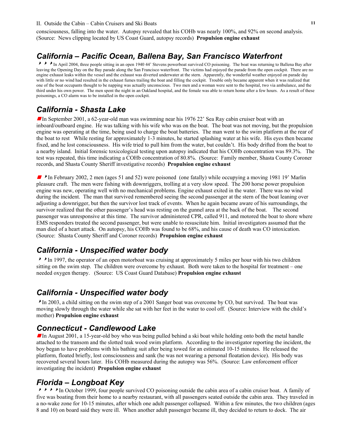consciousness, falling into the water. Autopsy revealed that his COHb was nearly 100%, and 92% on second analysis. (Source: News clipping located by US Coast Guard, autopsy records) **Propulsion engine exhaust**

#### *California – Pacific Ocean, Ballena Bay, San Francisco Waterfront*

**A A** In April 2004, three people sitting in an open 1940 44' Stevens powerboat survived CO poisoning. The boat was returning to Ballena Bay after leaving the Opening Day on the Bay parade along the San Francisco waterfront. The victims had enjoyed the parade from the open cockpit. There are no engine exhaust leaks within the vessel and the exhaust was diverted underwater at the stern. Apparently, the wonderful weather enjoyed on parade day with little or no wind had resulted in the exhaust fumes trailing the boat and filling the cockpit. Trouble only became apparent when it was realized that one of the boat occupants thought to be napping was actually unconscious. Two men and a woman were sent to the hospital, two via ambulance, and the third under his own power. The men spent the night in an Oakland hospital, and the female was able to return home after a few hours. As a result of these poisonings, a CO alarm was to be installed in the open cockpit.

#### *California - Shasta Lake*

In September 2001, a 62-year-old man was swimming near his 1976 22' Sea Ray cabin cruiser boat with an inboard/outboard engine. He was talking with his wife who was on the boat. The boat was not moving, but the propulsion engine was operating at the time, being used to charge the boat batteries. The man went to the swim platform at the rear of the boat to rest While resting for approximately 1-3 minutes, he started splashing water at his wife. His eyes then became fixed, and he lost consciousness. His wife tried to pull him from the water, but couldn't. His body drifted from the boat to a nearby island. Initial forensic toxicological testing upon autopsy indicated that his COHb concentration was 89.3%. The test was repeated, this time indicating a COHb concentration of 80.8%. (Source: Family member, Shasta County Coroner records, and Shasta County Sheriff investigative records) **Propulsion engine exhaust**

 $\blacktriangleright$  In February 2002, 2 men (ages 51 and 52) were poisoned (one fatally) while occupying a moving 1981 19' Marlin pleasure craft. The men were fishing with downriggers, trolling at a very slow speed. The 200 horse power propulsion engine was new, operating well with no mechanical problems. Engine exhaust exited in the water. There was no wind during the incident. The man that survived remembered seeing the second passenger at the stern of the boat leaning over adjusting a downrigger, but then the survivor lost track of events. When he again became aware of his surroundings, the survivor realized that the other passenger's head was resting on the gunnel area at the back of the boat. The second passenger was unresponsive at this time. The survivor administered CPR, called 911, and motored the boat to shore where EMS responders treated the second passenger, but were unable to resuscitate him. Initial investigators assumed that the man died of a heart attack. On autopsy, his COHb was found to be 68%, and his cause of death was CO intoxication. (Source: Shasta County Sheriff and Coroner records) **Propulsion engine exhaust**

### *California - Unspecified water body*

<sup>88</sup>In 1997, the operator of an open motorboat was cruising at approximately 5 miles per hour with his two children sitting on the swim step. The children were overcome by exhaust. Both were taken to the hospital for treatment – one needed oxygen therapy. (Source: US Coast Guard Database) **Propulsion engine exhaust** 

### *California - Unspecified water body*

<sup>8</sup>In 2003, a child sitting on the swim step of a 2001 Sanger boat was overcome by CO, but survived. The boat was moving slowly through the water while she sat with her feet in the water to cool off. (Source: Interview with the child's mother) **Propulsion engine exhaust** 

#### *Connecticut - Candlewood Lake*

**In August 2001, a 15-year-old boy who was being pulled behind a ski boat while holding onto both the metal handle** attached to the transom and the slotted teak wood swim platform. According to the investigator reporting the incident, the boy began to have problems with his bathing suit after being towed for an estimated 10-15 minutes. He released the platform, floated briefly, lost consciousness and sank (he was not wearing a personal floatation device). His body was recovered several hours later. His COHb measured during the autopsy was 56%. (Source: Law enforcement officer investigating the incident) **Propulsion engine exhaust** 

### *Florida – Longboat Key*

<sup>8888</sup>In October 1999, four people survived CO poisoning outside the cabin area of a cabin cruiser boat. A family of five was boating from their home to a nearby restaurant, with all passengers seated outside the cabin area. They traveled in a no-wake zone for 10-15 minutes, after which one adult passenger collapsed. Within a few minutes, the two children (ages 8 and 10) on board said they were ill. When another adult passenger became ill, they decided to return to dock. The air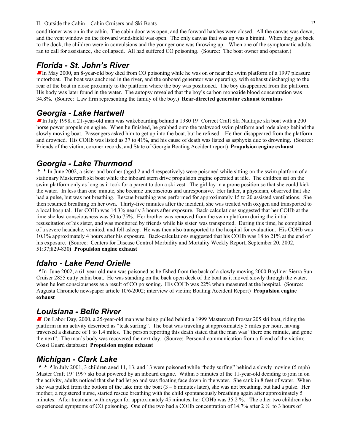conditioner was on in the cabin. The cabin door was open, and the forward hatches were closed. All the canvas was down, and the vent window on the forward windshield was open. The only canvas that was up was a bimini. When they got back to the dock, the children were in convulsions and the younger one was throwing up. When one of the symptomatic adults ran to call for assistance, she collapsed. All had suffered CO poisoning. (Source: The boat owner and operator.)

# *Florida - St. John's River*

In May 2000, an 8-year-old boy died from CO poisoning while he was on or near the swim platform of a 1997 pleasure motorboat. The boat was anchored in the river, and the onboard generator was operating, with exhaust discharging to the rear of the boat in close proximity to the platform where the boy was positioned. The boy disappeared from the platform. His body was later found in the water. The autopsy revealed that the boy's carbon monoxide blood concentration was 34.8%. (Source: Law firm representing the family of the boy.) **Rear-directed generator exhaust terminus** 

# *Georgia - Lake Hartwell*

In July 1998, a 21-year-old man was wakeboarding behind a 1980 19' Correct Craft Ski Nautique ski boat with a 200 horse power propulsion engine. When he finished, he grabbed onto the teakwood swim platform and rode along behind the slowly moving boat. Passengers asked him to get up into the boat, but he refused. He then disappeared from the platform and drowned. His COHb was listed as 37 to 41%, and his cause of death was listed as asphyxia due to drowning. (Source: Friends of the victim, coroner records, and State of Georgia Boating Accident report) **Propulsion engine exhaust**

# *Georgia - Lake Thurmond*

In June 2002, a sister and brother (aged 2 and 4 respectively) were poisoned while sitting on the swim platform of a stationary Mastercraft ski boat while the inboard stern drive propulsion engine operated at idle. The children sat on the swim platform only as long as it took for a parent to don a ski vest. The girl lay in a prone position so that she could kick the water. In less than one minute, she became unconscious and unresponsive. Her father, a physician, observed that she had a pulse, but was not breathing. Rescue breathing was performed for approximately 15 to 20 assisted ventilations. She then resumed breathing on her own. Thirty-five minutes after the incident, she was treated with oxygen and transported to a local hospital. Her COHb was 14.3% nearly 3 hours after exposure. Back-calculations suggested that her COHb at the time she lost consciousness was 50 to 75%. Her brother was removed from the swim platform during the initial resuscitation of his sister, and was monitored by friends while his sister was transported. During this time, he complained of a severe headache, vomited, and fell asleep. He was then also transported to the hospital for evaluation. His COHb was 10.1% approximately 4 hours after his exposure. Back-calculations suggested that his COHb was 18 to 21% at the end of his exposure. (Source: Centers for Disease Control Morbidity and Mortality Weekly Report, September 20, 2002, 51:37;829-830**) Propulsion engine exhaust** 

# *Idaho - Lake Pend Orielle*

In June 2002, a 61-year-old man was poisoned as he fished from the back of a slowly moving 2000 Bayliner Sierra Sun Cruiser 2855 cutty cabin boat. He was standing on the back open deck of the boat as it moved slowly through the water, when he lost consciousness as a result of CO poisoning. His COHb was 22% when measured at the hospital. (Source: Augusta Chronicle newspaper article 10/6/2002; interview of victim; Boating Accident Report) **Propulsion engine exhaust**

# *Louisiana - Belle River*

<sup>g</sup> On Labor Day, 2000, a 25-year-old man was being pulled behind a 1999 Mastercraft Prostar 205 ski boat, riding the platform in an activity described as "teak surfing". The boat was traveling at approximately 5 miles per hour, having traversed a distance of 1 to 1.4 miles. The person reporting this death stated that the man was "there one minute, and gone the next". The man's body was recovered the next day. (Source: Personal communication from a friend of the victim; Coast Guard database) **Propulsion engine exhaust**

# *Michigan - Clark Lake*

<sup>888</sup>In July 2001, 3 children aged 11, 13, and 13 were poisoned while "body surfing" behind a slowly moving (5 mph) Master Craft 19' 1997 ski boat powered by an inboard engine. Within 5 minutes of the 11-year-old deciding to join in on the activity, adults noticed that she had let go and was floating face down in the water. She sank in 8 feet of water. When she was pulled from the bottom of the lake into the boat  $(3 - 6$  minutes later), she was not breathing, but had a pulse. Her mother, a registered nurse, started rescue breathing with the child spontaneously breathing again after approximately 5 minutes. After treatment with oxygen for approximately 45 minutes, her COHb was 35.2 %. The other two children also experienced symptoms of CO poisoning. One of the two had a COHb concentration of 14.7% after 2 ½ to 3 hours of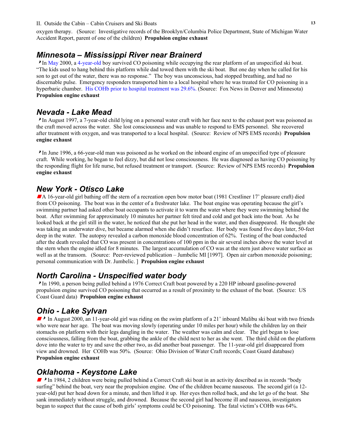oxygen therapy. (Source: Investigative records of the Brooklyn/Columbia Police Department, State of Michigan Water Accident Report, parent of one of the children) **Propulsion engine exhaust** 

# *Minnesota – Mississippi River near Brainerd*

In May 2000, a 4-year-old boy survived CO poisoning while occupying the rear platform of an unspecified ski boat. "The kids used to hang behind this platform while dad towed them with the ski boat. But one day when he called for his son to get out of the water, there was no response." The boy was unconscious, had stopped breathing, and had no discernable pulse. Emergency responders transported him to a local hospital where he was treated for CO poisoning in a hyperbaric chamber. His COHb prior to hospital treatment was 29.6%. (Source: Fox News in Denver and Minnesota) **Propulsion engine exhaust** 

#### *Nevada - Lake Mead*

<sup>8</sup>In August 1997, a 7-year-old child lying on a personal water craft with her face next to the exhaust port was poisoned as the craft moved across the water. She lost consciousness and was unable to respond to EMS personnel. She recovered after treatment with oxygen, and was transported to a local hospital. (Source: Review of NPS EMS records) **Propulsion engine exhaust**

<sup>8</sup>In June 1996, a 66-year-old man was poisoned as he worked on the inboard engine of an unspecified type of pleasure craft. While working, he began to feel dizzy, but did not lose consciousness. He was diagnosed as having CO poisoning by the responding flight for life nurse, but refused treatment or transport. (Source: Review of NPS EMS records) **Propulsion engine exhaust**

# *New York - Otisco Lake*

A 16-year-old girl bathing off the stern of a recreation open bow motor boat (1981 Crestliner 17' pleasure craft) died from CO poisoning. The boat was in the center of a freshwater lake. The boat engine was operating because the girl's swimming partner had asked other boat occupants to activate it to warm the water where they were swimming behind the boat. After swimming for approximately 10 minutes her partner felt tired and cold and got back into the boat. As he looked back at the girl still in the water, he noticed that she put her head in the water, and then disappeared. He thought she was taking an underwater dive, but became alarmed when she didn't resurface. Her body was found five days later, 50-feet deep in the water. The autopsy revealed a carbon monoxide blood concentration of 62%. Testing of the boat conducted after the death revealed that CO was present in concentrations of 100 ppm in the air several inches above the water level at the stern when the engine idled for 8 minutes. The largest accumulation of CO was at the stern just above water surface as well as at the transom. (Source: Peer-reviewed publication – Jumbelic MI [1997]. Open air carbon monoxide poisoning; personal communication with Dr. Jumbelic. ] **Propulsion engine exhaust** 

# *North Carolina - Unspecified water body*

<sup>8</sup>In 1990, a person being pulled behind a 1976 Correct Craft boat powered by a 220 HP inboard gasoline-powered propulsion engine survived CO poisoning that occurred as a result of proximity to the exhaust of the boat. (Source: US Coast Guard data) **Propulsion engine exhaust** 

# *Ohio - Lake Sylvan*

 $\blacktriangleright$  In August 2000, an 11-year-old girl was riding on the swim platform of a 21' inboard Malibu ski boat with two friends who were near her age. The boat was moving slowly (operating under 10 miles per hour) while the children lay on their stomachs on platform with their legs dangling in the water. The weather was calm and clear. The girl began to lose consciousness, falling from the boat, grabbing the ankle of the child next to her as she went. The third child on the platform dove into the water to try and save the other two, as did another boat passenger. The 11-year-old girl disappeared from view and drowned. Her COHb was 50%. (Source: Ohio Division of Water Craft records; Coast Guard database) **Propulsion engine exhaust** 

# *Oklahoma - Keystone Lake*

**In** 1984, 2 children were being pulled behind a Correct Craft ski boat in an activity described as in records "body" surfing" behind the boat, very near the propulsion engine. One of the children became nauseous. The second girl (a 12 year-old) put her head down for a minute, and then lifted it up. Her eyes then rolled back, and she let go of the boat. She sank immediately without struggle, and drowned. Because the second girl had become ill and nauseous, investigators began to suspect that the cause of both girls' symptoms could be CO poisoning. The fatal victim's COHb was 64%.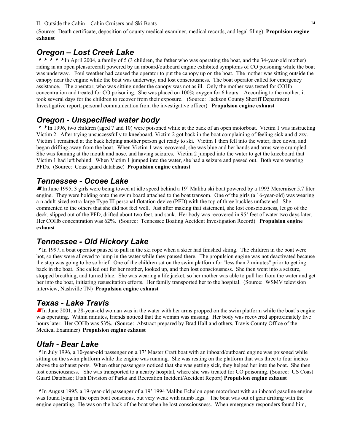(Source: Death certificate, deposition of county medical examiner, medical records, and legal filing) **Propulsion engine exhaust** 

# *Oregon – Lost Creek Lake*

**8888** In April 2004, a family of 5 (3 children, the father who was operating the boat, and the 34-year-old mother) riding in an open pleasurecraft powered by an inboard/outboard engine exhibited symptoms of CO poisoning while the boat was underway. Foul weather had caused the operator to put the canopy up on the boat. The mother was sitting outside the canopy near the engine while the boat was underway, and lost consciousness. The boat operator called for emergency assistance. The operator, who was sitting under the canopy was not as ill. Only the mother was tested for COHb concentration and treated for CO poisoning. She was placed on 100% oxygen for 6 hours. According to the mother, it took several days for the children to recover from their exposure. (Source: Jackson County Sheriff Department Investigative report, personal communication from the investigative officer) **Propulsion engine exhaust** 

# *Oregon - Unspecified water body*

 $\triangleright$  In 1996, two children (aged 7 and 10) were poisoned while at the back of an open motorboat. Victim 1 was instructing Victim 2. After trying unsuccessfully to kneeboard, Victim 2 got back in the boat complaining of feeling sick and dizzy. Victim 1 remained at the back helping another person get ready to ski. Victim 1 then fell into the water, face down, and began drifting away from the boat. When Victim 1 was recovered, she was blue and her hands and arms were crumpled. She was foaming at the mouth and nose, and having seizures. Victim 2 jumped into the water to get the kneeboard that Victim 1 had left behind. When Victim 1 jumped into the water, she had a seizure and passed out. Both were wearing PFDs. (Source: Coast guard database) **Propulsion engine exhaust** 

# *Tennessee - Ocoee Lake*

In June 1995, 3 girls were being towed at idle speed behind a 19' Malibu ski boat powered by a 1993 Mercruiser 5.7 liter engine. They were holding onto the swim board attached to the boat transom. One of the girls (a 16-year-old) was wearing a n adult-sized extra-large Type III personal flotation device (PFD) with the top of three buckles unfastened. She commented to the others that she did not feel well. Just after making that statement, she lost consciousness, let go of the deck, slipped out of the PFD, drifted about two feet, and sank. Her body was recovered in 95' feet of water two days later. Her COHb concentration was 62%. (Source: Tennessee Boating Accident Investigation Record) **Propulsion engine exhaust** 

# *Tennessee - Old Hickory Lake*

<sup>8</sup>In 1997, a boat operator paused to pull in the ski rope when a skier had finished skiing. The children in the boat were hot, so they were allowed to jump in the water while they paused there. The propulsion engine was not deactivated because the stop was going to be so brief. One of the children sat on the swim platform for "less than 2 minutes" prior to getting back in the boat. She called out for her mother, looked up, and then lost consciousness. She then went into a seizure, stopped breathing, and turned blue. She was wearing a life jacket, so her mother was able to pull her from the water and get her into the boat, initiating resuscitation efforts. Her family transported her to the hospital. (Source: WSMV television interview, Nashville TN) **Propulsion engine exhaust** 

# *Texas - Lake Travis*

In June 2001, a 28-year-old woman was in the water with her arms propped on the swim platform while the boat's engine was operating. Within minutes, friends noticed that the woman was missing. Her body was recovered approximately five hours later. Her COHb was 53%. (Source: Abstract prepared by Brad Hall and others, Travis County Office of the Medical Examiner) **Propulsion engine exhaust** 

# *Utah - Bear Lake*

<sup>8</sup>In July 1996, a 10-year-old passenger on a 17' Master Craft boat with an inboard/outboard engine was poisoned while sitting on the swim platform while the engine was running. She was resting on the platform that was three to four inches above the exhaust ports. When other passengers noticed that she was getting sick, they helped her into the boat. She then lost consciousness. She was transported to a nearby hospital, where she was treated for CO poisoning. (Source: US Coast Guard Database; Utah Division of Parks and Recreation Incident/Accident Report) **Propulsion engine exhaust** 

<sup>8</sup>In August 1995, a 19-year-old passenger of a 19' 1994 Malibu Echelon open motorboat with an inboard gasoline engine was found lying in the open boat conscious, but very weak with numb legs. The boat was out of gear drifting with the engine operating. He was on the back of the boat when he lost consciousness. When emergency responders found him,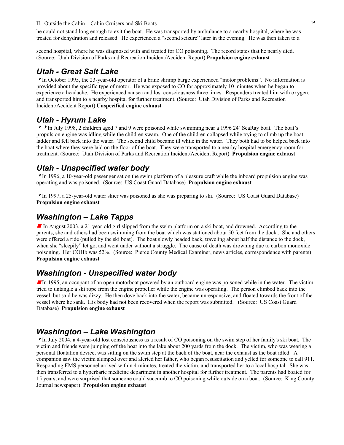he could not stand long enough to exit the boat. He was transported by ambulance to a nearby hospital, where he was treated for dehydration and released. He experienced a "second seizure" later in the evening. He was then taken to a

second hospital, where he was diagnosed with and treated for CO poisoning. The record states that he nearly died. (Source: Utah Division of Parks and Recreation Incident/Accident Report) **Propulsion engine exhaust**

# *Utah - Great Salt Lake*

<sup>8</sup>In October 1995, the 23-year-old operator of a brine shrimp barge experienced "motor problems". No information is provided about the specific type of motor. He was exposed to CO for approximately 10 minutes when he began to experience a headache. He experienced nausea and lost consciousness three times. Responders treated him with oxygen, and transported him to a nearby hospital for further treatment. (Source: Utah Division of Parks and Recreation Incident/Accident Report) **Unspecified engine exhaust**

# *Utah - Hyrum Lake*

<sup>88</sup>In July 1998, 2 children aged 7 and 9 were poisoned while swimming near a 1996 24' SeaRay boat. The boat's propulsion engine was idling while the children swam. One of the children collapsed while trying to climb up the boat ladder and fell back into the water. The second child became ill while in the water. They both had to be helped back into the boat where they were laid on the floor of the boat. They were transported to a nearby hospital emergency room for treatment. (Source: Utah Division of Parks and Recreation Incident/Accident Report) **Propulsion engine exhaust**

# *Utah - Unspecified water body*

<sup>8</sup>In 1996, a 10-year-old passenger sat on the swim platform of a pleasure craft while the inboard propulsion engine was operating and was poisoned. (Source: US Coast Guard Database) **Propulsion engine exhaust**

<sup>8</sup>In 1997, a 25-year-old water skier was poisoned as she was preparing to ski. (Source: US Coast Guard Database) **Propulsion engine exhaust** 

### *Washington – Lake Tapps*

In August 2003, a 21-year-old girl slipped from the swim platform on a ski boat, and drowned. According to the parents, she and others had been swimming from the boat which was stationed about 50 feet from the dock.. She and others were offered a ride (pulled by the ski boat). The boat slowly headed back, traveling about half the distance to the dock, when she "sleepily" let go, and went under without a struggle. The cause of death was drowning due to carbon monoxide poisoning. Her COHb was 52%. (Source: Pierce County Medical Examiner, news articles, correspondence with parents) **Propulsion engine exhaust**

# *Washington - Unspecified water body*

In 1995, an occupant of an open motorboat powered by an outboard engine was poisoned while in the water. The victim tried to untangle a ski rope from the engine propeller while the engine was operating. The person climbed back into the vessel, but said he was dizzy. He then dove back into the water, became unresponsive, and floated towards the front of the vessel where he sank. His body had not been recovered when the report was submitted. (Source: US Coast Guard Database) **Propulsion engine exhaust** 

# *Washington – Lake Washington*

<sup>8</sup>In July 2004, a 4-year-old lost consciousness as a result of CO poisoning on the swim step of her family's ski boat. The victim and friends were jumping off the boat into the lake about 200 yards from the dock. The victim, who was wearing a personal floatation device, was sitting on the swim step at the back of the boat, near the exhaust as the boat idled. A companion saw the victim slumped over and alerted her father, who began resuscitation and yelled for someone to call 911. Responding EMS personnel arrived within 4 minutes, treated the victim, and transported her to a local hospital. She was then transferred to a hyperbaric medicine department in another hospital for further treatment. The parents had boated for 15 years, and were surprised that someone could succumb to CO poisoning while outside on a boat. (Source: King County Journal newspaper) **Propulsion engine exhaust**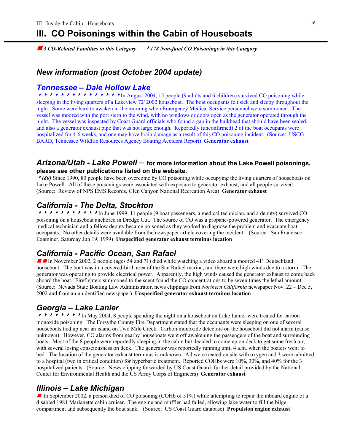# **III. CO Poisonings within the Cabin of Houseboats**

*g* 3 CO-Related Fatalities in this Category **8 178 Non-fatal CO Poisonings in this Category 3** 

# *New information (post October 2004 update)*

#### *Tennessee – Dale Hollow Lake*

<sup>888888888888888</sup>In August 2004, 15 people (9 adults and 6 children) survived CO poisoning while sleeping in the living quarters of a Lakeview 72' 2002 houseboat. The boat occupants felt sick and sleepy throughout the night. Some were hard to awaken in the morning when Emergency Medical Service personnel were summoned. The vessel was moored with the port stern to the wind, with no windows or doors open as the generator operated through the night. The vessel was inspected by Coast Guard officials who found a gap in the bulkhead that should have been sealed, and also a generator exhaust pipe that was not large enough. Reportedly (unconfirmed) 2 of the boat occupants were hospitalized for 4-6 weeks, and one may have brain damage as a result of this CO poisoning incident. (Source: USCG BARD, Tennessee Wildlife Resources Agency Boating Accident Report) **Generator exhaust**

#### *Arizona/Utah - Lake Powell* – **for more information about the Lake Powell poisonings, please see other publications listed on the website.**

<sup>8</sup>*(80)* Since 1990, 80 people have been overcome by CO poisoning while occupying the living quarters of houseboats on Lake Powell. All of these poisonings were associated with exposure to generator exhaust, and all people survived. (Source: Review of NPS EMS Records, Glen Canyon National Recreation Area) **Generator exhaust** 

#### *California - The Delta, Stockton*

<sup>88888888888</sup>In June 1999, 11 people (9 boat passengers, a medical technician, and a deputy) survived CO poisoning on a houseboat anchored in Dredge Cut. The source of CO was a propane-powered generator. The emergency medical technician and a fellow deputy became poisoned as they worked to diagnose the problem and evacuate boat occupants. No other details were available from the newspaper article covering the incident. (Source: San Francisco Examiner, Saturday Jun 19, 1999) **Unspecified generator exhaust terminus location** 

### *California - Pacific Ocean, San Rafael*

**g** In November 2002, 2 people (ages 54 and 71) died while watching a video aboard a moored 41' Deutschland houseboat. The boat was in a covered-birth area of the San Rafael marina, and there were high winds due to a storm. The generator was operating to provide electrical power. Apparently, the high winds caused the generator exhaust to come back aboard the boat. Firefighters summoned to the scent found the CO concentrations to be seven times the lethal amount. (Source: Nevada State Boating Law Administrator, news clippings from *Northern California* newspaper Nov. 22 – Dec 5, 2002 and from an unidentified newspaper) **Unspecified generator exhaust terminus location** 

# *Georgia – Lake Lanier*

 $\triangleright\rightarrow\rightarrow\rightarrow\rightarrow\rightarrow\rightarrow\rightarrow$  In May 2004, 8 people spending the night on a houseboat on Lake Lanier were treated for carbon monoxide poisoning. The Forsythe County Fire Department stated that the occupants were sleeping on one of several houseboats tied up near an island on Two Mile Creek. Carbon monoxide detectors on the houseboat did not alarm (cause unknown). However, CO alarms from nearby houseboats went off awakening the passengers of the boat and surrounding boats. Most of the 8 people were reportedly sleeping in the cabin but decided to come up on deck to get some fresh air, with several losing consciousness on deck. The generator was reportedly running until 4 a.m. when the boaters went to bed. The location of the generator exhaust terminus is unknown. All were treated on site with oxygen and 3 were admitted to a hospital (two in critical condition) for hyperbaric treatment. Reported COHbs were 10%, 30%, and 40% for the 3 hospitalized patients. (Source: News clipping forwarded by US Coast Guard; further detail provided by the National Center for Environmental Health and the US Army Corps of Engineers) **Generator exhaust** 

#### *Illinois – Lake Michigan*

In September 2002, a person died of CO poisoning (COHb of  $51\%$ ) while attempting to repair the inboard engine of a disabled 1981 Marianette cabin cruiser. The engine and muffler had failed, allowing lake water to fill the bilge compartment and subsequently the boat sank. (Source: US Coast Guard database) **Propulsion engine exhaust**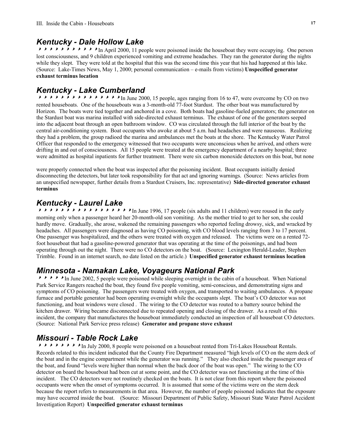#### *Kentucky - Dale Hollow Lake*

 $\triangleright$   $\triangleright$   $\triangleright$   $\triangleright$   $\triangleright$   $\triangleright$   $\triangleright$   $\triangleright$   $\triangleright$   $\triangleright$   $\triangleright$   $\triangleright$   $\triangleright$   $\triangleright$   $\triangleright$   $\triangleright$   $\triangleright$   $\triangleright$   $\triangleright$   $\triangleright$   $\triangleright$   $\triangleright$   $\triangleright$   $\triangleright$   $\triangleright$   $\triangleright$   $\triangleright$   $\triangleright$   $\triangleright$   $\triangleright$   $\triangleright$   $\triangler$ lost consciousness, and 9 children experienced vomiting and extreme headaches. They ran the generator during the nights while they slept. They were told at the hospital that this was the second time this year that his had happened at this lake. (Source: Lake-Times News, May 1, 2000; personal communication – e-mails from victims) **Unspecified generator exhaust terminus location** 

#### *Kentucky - Lake Cumberland*

<sup>888888888888888</sup>In June 2000, 15 people, ages ranging from 16 to 47, were overcome by CO on two rented houseboats. One of the houseboats was a 3-month-old 77-foot Stardust. The other boat was manufactured by Horizon. The boats were tied together and anchored in a cove. Both boats had gasoline-fueled generators; the generator on the Stardust boat was marina installed with side-directed exhaust terminus. The exhaust of one of the generators seeped into the adjacent boat through an open bathroom window. CO was circulated through the full interior of the boat by the central air-conditioning system. Boat occupants who awoke at about 5 a.m. had headaches and were nauseous. Realizing they had a problem, the group radioed the marina and ambulances met the boats at the shore. The Kentucky Water Patrol Officer that responded to the emergency witnessed that two occupants were unconscious when he arrived, and others were drifting in and out of consciousness. All 15 people were treated at the emergency department of a nearby hospital; three were admitted as hospital inpatients for further treatment. There were six carbon monoxide detectors on this boat, but none

were properly connected when the boat was inspected after the poisoning incident. Boat occupants initially denied disconnecting the detectors, but later took responsibility for that act and ignoring warnings. (Source: News articles from an unspecified newspaper, further details from a Stardust Cruisers, Inc. representative) **Side-directed generator exhaust terminus**

#### *Kentucky - Laurel Lake*

<sup>88888888888888888</sup>In June 1996, 17 people (six adults and 11 children) were roused in the early morning only when a passenger heard her 20-month-old son vomiting. As the mother tried to get to her son, she could hardly move. Gradually, she arose, wakened the remaining passengers who reported feeling drowsy, sick, and wracked by headaches. All passengers were diagnosed as having CO poisoning, with CO blood levels ranging from 3 to 17 percent. One passenger was hospitalized, and the others were treated with oxygen and released. The victims were on a rented 72 foot houseboat that had a gasoline-powered generator that was operating at the time of the poisonings, and had been operating through out the night. There were no CO detectors on the boat. (Source: Lexington Herald-Leader, Stephen Trimble. Found in an internet search, no date listed on the article.) **Unspecified generator exhaust terminus location** 

#### *Minnesota - Namakan Lake, Voyageurs National Park*

**8888**In June 2002, 5 people were poisoned while sleeping overnight in the cabin of a houseboat. When National Park Service Rangers reached the boat, they found five people vomiting, semi-conscious, and demonstrating signs and symptoms of CO poisoning. The passengers were treated with oxygen, and transported to waiting ambulances. A propane furnace and portable generator had been operating overnight while the occupants slept. The boat's CO detector was not functioning, and boat windows were closed . The wiring to the CO detector was routed to a battery source behind the kitchen drawer. Wiring became disconnected due to repeated opening and closing of the drawer. As a result of this incident, the company that manufactures the houseboat immediately conducted an inspection of all houseboat CO detectors. (Source: National Park Service press release) **Generator and propane stove exhaust**

### *Missouri - Table Rock Lake*

**ABBA8888** In July 2000, 8 people were poisoned on a houseboat rented from Tri-Lakes Houseboat Rentals. Records related to this incident indicated that the County Fire Department measured "high levels of CO on the stern deck of the boat and in the engine compartment while the generator was running." They also checked inside the passenger area of the boat, and found "levels were higher than normal when the back door of the boat was open." The wiring to the CO detector on board the houseboat had been cut at some point, and the CO detector was not functioning at the time of this incident. The CO detectors were not routinely checked on the boats. It is not clear from this report where the poisoned occupants were when the onset of symptoms occurred. It is assumed that some of the victims were on the stern deck because the report refers to measurements in that area. However, the number of people poisoned indicates that the exposure may have occurred inside the boat. (Source: Missouri Department of Public Safety, Missouri State Water Patrol Accident Investigation Report) **Unspecified generator exhaust terminus**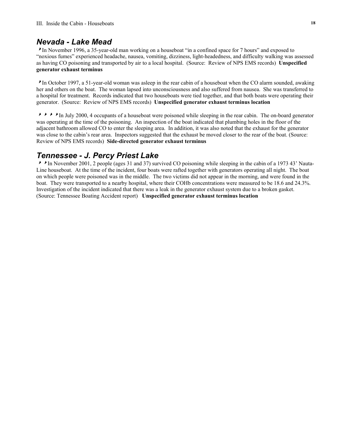#### *Nevada - Lake Mead*

<sup>8</sup>In November 1996, a 35-year-old man working on a houseboat "in a confined space for 7 hours" and exposed to "noxious fumes" experienced headache, nausea, vomiting, dizziness, light-headedness, and difficulty walking was assessed as having CO poisoning and transported by air to a local hospital. (Source: Review of NPS EMS records) **Unspecified generator exhaust terminus**

<sup>8</sup>In October 1997, a 51-year-old woman was asleep in the rear cabin of a houseboat when the CO alarm sounded, awaking her and others on the boat. The woman lapsed into unconsciousness and also suffered from nausea. She was transferred to a hospital for treatment. Records indicated that two houseboats were tied together, and that both boats were operating their generator. (Source: Review of NPS EMS records) **Unspecified generator exhaust terminus location**

<sup>8888</sup>In July 2000, 4 occupants of a houseboat were poisoned while sleeping in the rear cabin. The on-board generator was operating at the time of the poisoning. An inspection of the boat indicated that plumbing holes in the floor of the adjacent bathroom allowed CO to enter the sleeping area. In addition, it was also noted that the exhaust for the generator was close to the cabin's rear area. Inspectors suggested that the exhaust be moved closer to the rear of the boat. (Source: Review of NPS EMS records) **Side-directed generator exhaust terminus** 

#### *Tennessee - J. Percy Priest Lake*

<sup>88</sup>In November 2001, 2 people (ages 31 and 37) survived CO poisoning while sleeping in the cabin of a 1973 43' Nauta-Line houseboat. At the time of the incident, four boats were rafted together with generators operating all night. The boat on which people were poisoned was in the middle. The two victims did not appear in the morning, and were found in the boat. They were transported to a nearby hospital, where their COHb concentrations were measured to be 18.6 and 24.3%. Investigation of the incident indicated that there was a leak in the generator exhaust system due to a broken gasket. (Source: Tennessee Boating Accident report) **Unspecified generator exhaust terminus location**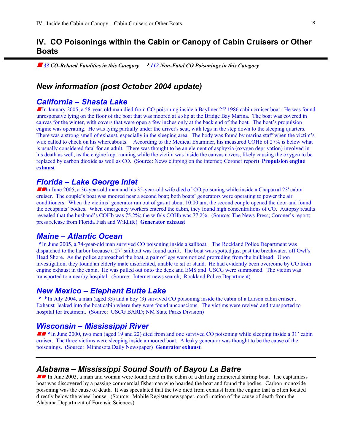#### **IV. CO Poisonings within the Cabin or Canopy of Cabin Cruisers or Other Boats**

■ 33 CO-Related Fatalities in this Category → 112 Non-Fatal CO Poisonings in this Category

#### *New information (post October 2004 update)*

#### *California – Shasta Lake*

g In January 2005, a 58-year-old man died from CO poisoning inside a Bayliner 25' 1986 cabin cruiser boat. He was found unresponsive lying on the floor of the boat that was moored at a slip at the Bridge Bay Marina. The boat was covered in canvas for the winter, with covers that were open a few inches only at the back end of the boat. The boat's propulsion engine was operating. He was lying partially under the driver's seat, with legs in the step down to the sleeping quarters. There was a strong smell of exhaust, especially in the sleeping area. The body was found by marina staff when the victim's wife called to check on his whereabouts. According to the Medical Examiner, his measured COHb of 27% is below what is usually considered fatal for an adult. There was thought to be an element of asphyxia (oxygen deprivation) involved in his death as well, as the engine kept running while the victim was inside the canvas covers, likely causing the oxygen to be replaced by carbon dioxide as well as CO. (Source: News clipping on the internet; Coroner report) **Propulsion engine exhaust** 

#### *Florida – Lake George Inlet*

**T** in June 2005, a 36-year-old man and his 35-year-old wife died of CO poisoning while inside a Chaparral 23' cabin cruiser. The couple's boat was moored near a second boat; both boats' generators were operating to power the air conditioners. When the victims' generator ran out of gas at about 10:00 am, the second couple opened the door and found the occupants' bodies. When emergency workers entered the cabin, they found high concentrations of CO. Autopsy results revealed that the husband's COHb was 75.2%; the wife's COHb was 77.2%. (Source: The News-Press; Coroner's report; press release from Florida Fish and Wildlife) **Generator exhaust** 

#### *Maine – Atlantic Ocean*

<sup>8</sup>In June 2005, a 74-year-old man survived CO poisoning inside a sailboat. The Rockland Police Department was dispatched to the harbor because a 27' sailboat was found adrift. The boat was spotted just past the breakwater, off Owl's Head Shore. As the police approached the boat, a pair of legs were noticed protruding from the bulkhead. Upon investigation, they found an elderly male disoriented, unable to sit or stand. He had evidently been overcome by CO from engine exhaust in the cabin. He was pulled out onto the deck and EMS and USCG were summoned. The victim was transported to a nearby hospital. (Source: Internet news search; Rockland Police Department)

#### *New Mexico – Elephant Butte Lake*

<sup>88</sup>In July 2004, a man (aged 33) and a boy (3) survived CO poisoning inside the cabin of a Larson cabin cruiser . Exhaust leaked into the boat cabin where they were found unconscious. The victims were revived and transported to hospital for treatment. (Source: USCG BARD; NM State Parks Division)

#### *Wisconsin – Mississippi River*

 $\blacksquare$  In June 2000, two men (aged 19 and 22) died from and one survived CO poisoning while sleeping inside a 31' cabin cruiser. The three victims were sleeping inside a moored boat. A leaky generator was thought to be the cause of the poisonings. (Source: Minnesota Daily Newspaper) **Generator exhaust**

#### *Alabama – Mississippi Sound South of Bayou La Batre*

In June 2003, a man and woman were found dead in the cabin of a drifting ommercial shrimp boat. The captainless boat was discovered by a passing commercial fisherman who boarded the boat and found the bodies. Carbon monoxide poisoning was the cause of death. It was speculated that the two died from exhaust from the engine that is often located directly below the wheel house. (Source: Mobile Register newspaper, confirmation of the cause of death from the Alabama Department of Forensic Sciences)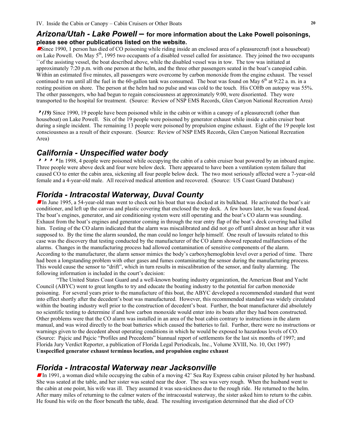#### *Arizona/Utah - Lake Powell* **– for more information about the Lake Powell poisonings, please see other publications listed on the website.**

Since 1990, 1 person has died of CO poisoning while riding inside an enclosed area of a pleasurecraft (not a houseboat) on Lake Powell. On May  $5<sup>th</sup>$ , 1995 two occupants of a disabled vessel called for assistance. They joined the two occupants ``of the assisting vessel, the boat described above, while the disabled vessel was in tow. The tow was initiated at approximately 7:20 p.m. with one person at the helm, and the three other passengers seated in the boat's canopied cabin. Within an estimated five minutes, all passengers were overcome by carbon monoxide from the engine exhaust. The vessel continued to run until all the fuel in the 60-gallon tank was consumed. The boat was found on May  $6<sup>th</sup>$  at 9:22 a. m. in a resting position on shore. The person at the helm had no pulse and was cold to the touch. His COHb on autopsy was 55%. The other passengers, who had begun to regain consciousness at approximately 9:00, were disoriented. They were transported to the hospital for treatment. (Source: Review of NSP EMS Records, Glen Canyon National Recreation Area)

<sup>8</sup>*(19)* Since 1990, 19 people have been poisoned while in the cabin or within a canopy of a pleasurecraft (other than houseboat) on Lake Powell. Six of the 19 people were poisoned by generator exhaust while inside a cabin cruiser boat during a single incident. The remaining 13 people were poisoned by propulsion engine exhaust. Eight of the 19 people lost consciousness as a result of their exposure. (Source: Review of NSP EMS Records, Glen Canyon National Recreation Area)

### *California - Unspecified water body*

 $\triangleright\rightarrow\rightarrow\blacksquare$  1998, 4 people were poisoned while occupying the cabin of a cabin cruiser boat powered by an inboard engine. Three people were above deck and four were below deck. There appeared to have been a ventilation system failure that caused CO to enter the cabin area, sickening all four people below deck. The two most seriously affected were a 7-year-old female and a 4-year-old male. All received medical attention and recovered. (Source: US Coast Guard Database)

# *Florida - Intracostal Waterway, Duval County*

In June 1995, a 54-year-old man went to check out his boat that was docked at its bulkhead. He activated the boat's air conditioner, and left up the canvas and plastic covering that enclosed the top deck. A few hours later, he was found dead. The boat's engines, generator, and air conditioning system were still operating and the boat's CO alarm was sounding. Exhaust from the boat's engines and generator coming in through the rear entry flap of the boat's deck covering had killed him. Testing of the CO alarm indicated that the alarm was miscalibrated and did not go off until almost an hour after it was supposed to. By the time the alarm sounded, the man could no longer help himself. One result of lawsuits related to this case was the discovery that testing conducted by the manufacturer of the CO alarm showed repeated malfunctions of the alarms. Changes in the manufacturing process had allowed contamination of sensitive components of the alarm. According to the manufacturer, the alarm sensor mimics the body's carboxyhemoglobin level over a period of time. There had been a longstanding problem with other gases and fumes contaminating the sensor during the manufacturing process. This would cause the sensor to "drift", which in turn results in miscalibration of the sensor, and faulty alarming. The following information is included in the court's decision:

"The United States Coast Guard and a well-known boating industry organization, the American Boat and Yacht Council (ABYC) went to great lengths to try and educate the boating industry to the potential for carbon monoxide poisoning. For several years prior to the manufacture of this boat, the ABYC developed a recommended standard that went into effect shortly after the decedent's boat was manufactured. However, this recommended standard was widely circulated within the boating industry well prior to the construction of decedent's boat. Further, the boat manufacturer did absolutely no scientific testing to determine if and how carbon monoxide would enter into its boats after they had been constructed. Other problems were that the CO alarm was installed in an area of the boat cabin contrary to instructions in the alarm manual, and was wired directly to the boat batteries which caused the batteries to fail. Further, there were no instructions or warnings given to the decedent about operating conditions in which he would be exposed to hazardous levels of CO. (Source: Pajcic and Pajcic "Profiles and Precedents" biannual report of settlements for the last six months of 1997; and Florida Jury Verdict Reporter, a publication of Florida Legal Periodicals, Inc., Volume XVIII, No. 10, Oct 1997) **Unspecified generator exhaust terminus location, and propulsion engine exhaust** 

### *Florida - Intracostal Waterway near Jacksonville*

In 1991, a woman died while occupying the cabin of a moving 42' Sea Ray Express cabin cruiser piloted by her husband. She was seated at the table, and her sister was seated near the door. The sea was very rough. When the husband went to the cabin at one point, his wife was ill. They assumed it was sea-sickness due to the rough ride. He returned to the helm. After many miles of returning to the calmer waters of the intracoastal waterway, the sister asked him to return to the cabin. He found his wife on the floor beneath the table, dead. The resulting investigation determined that she died of CO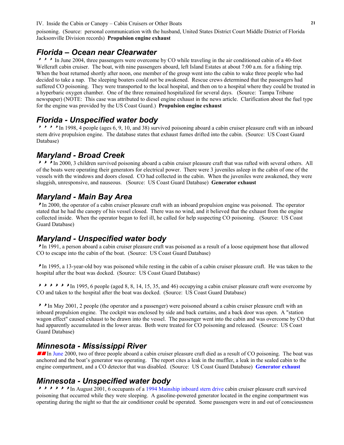#### IV. Inside the Cabin or Canopy – Cabin Cruisers or Other Boats **21**

poisoning. (Source: personal communication with the husband, United States District Court Middle District of Florida Jacksonville Division records) **Propulsion engine exhaust**

#### *Florida – Ocean near Clearwater*

 $\rightarrow$   $\rightarrow$  In June 2004, three passengers were overcome by CO while traveling in the air conditioned cabin of a 40-foot Wellcraft cabin cruiser. The boat, with nine passengers aboard, left Island Estates at about 7:00 a.m. for a fishing trip. When the boat returned shortly after noon, one member of the group went into the cabin to wake three people who had decided to take a nap. The sleeping boaters could not be awakened. Rescue crews determined that the passengers had suffered CO poisoning. They were transported to the local hospital, and then on to a hospital where they could be treated in a hyperbaric oxygen chamber. One of the three remained hospitalized for several days. (Source: Tampa Tribune newspaper) (NOTE: This case was attributed to diesel engine exhaust in the news article. Clarification about the fuel type for the engine was provided by the US Coast Guard.) **Propulsion engine exhaust** 

#### *Florida - Unspecified water body*

<sup>8</sup>  $\rightarrow$  <sup>8</sup> In 1998, 4 people (ages 6, 9, 10, and 38) survived poisoning aboard a cabin cruiser pleasure craft with an inboard stern drive propulsion engine. The database states that exhaust fumes drifted into the cabin. (Source: US Coast Guard Database)

### *Maryland - Broad Creek*

 $\triangleright$   $\triangleright$  In 2000, 3 children survived poisoning aboard a cabin cruiser pleasure craft that was rafted with several others. All of the boats were operating their generators for electrical power. There were 3 juveniles asleep in the cabin of one of the vessels with the windows and doors closed. CO had collected in the cabin. When the juveniles were awakened, they were sluggish, unresponsive, and nauseous. (Source: US Coast Guard Database) **Generator exhaust**

### *Maryland - Main Bay Area*

<sup>8</sup>In 2000, the operator of a cabin cruiser pleasure craft with an inboard propulsion engine was poisoned. The operator stated that he had the canopy of his vessel closed. There was no wind, and it believed that the exhaust from the engine collected inside. When the operator began to feel ill, he called for help suspecting CO poisoning. (Source: US Coast Guard Database)

# *Maryland - Unspecified water body*

<sup>8</sup>In 1991, a person aboard a cabin cruiser pleasure craft was poisoned as a result of a loose equipment hose that allowed CO to escape into the cabin of the boat. (Source: US Coast Guard Database)

<sup>8</sup>In 1995, a 13-year-old boy was poisoned while resting in the cabin of a cabin cruiser pleasure craft. He was taken to the hospital after the boat was docked. (Source: US Coast Guard Database)

 $\triangleright\rightarrow\rightarrow\rightarrow\rightarrow\rightarrow$  In 1995, 6 people (aged 8, 8, 14, 15, 35, and 46) occupying a cabin cruiser pleasure craft were overcome by CO and taken to the hospital after the boat was docked. (Source: US Coast Guard Database)

<sup>88</sup>In May 2001, 2 people (the operator and a passenger) were poisoned aboard a cabin cruiser pleasure craft with an inboard propulsion engine. The cockpit was enclosed by side and back curtains, and a back door was open. A "station wagon effect" caused exhaust to be drawn into the vessel. The passenger went into the cabin and was overcome by CO that had apparently accumulated in the lower areas. Both were treated for CO poisoning and released. (Source: US Coast Guard Database)

### *Minnesota - Mississippi River*

In June 2000, two of three people aboard a cabin cruiser pleasure craft died as a result of CO poisoning. The boat was anchored and the boat's generator was operating. The report cites a leak in the muffler, a leak in the sealed cabin to the engine compartment, and a CO detector that was disabled. (Source: US Coast Guard Database) **Generator exhaust**

## *Minnesota - Unspecified water body*

**88888** In August 2001, 6 occupants of a 1994 Mainship inboard stern drive cabin cruiser pleasure craft survived poisoning that occurred while they were sleeping. A gasoline-powered generator located in the engine compartment was operating during the night so that the air conditioner could be operated. Some passengers were in and out of consciousness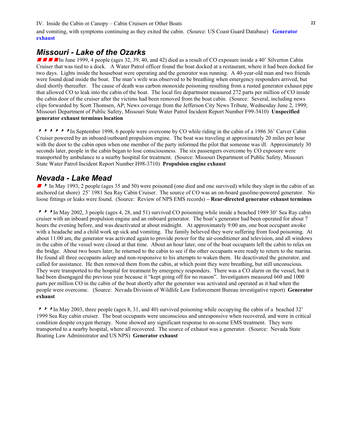#### IV. Inside the Cabin or Canopy – Cabin Cruisers or Other Boats **22**

and vomiting, with symptoms continuing as they exited the cabin. (Source: US Coast Guard Database) **Generator exhaust** 

#### *Missouri - Lake of the Ozarks*

 $\blacksquare$  If  $\blacksquare$  In June 1999, 4 people (ages 32, 39, 40, and 42) died as a result of CO exposure inside a 40' Silverton Cabin Cruiser that was tied to a dock. A Water Patrol officer found the boat docked at a restaurant, where it had been docked for two days. Lights inside the houseboat were operating and the generator was running. A 40-year-old man and two friends were found dead inside the boat. The man's wife was observed to be breathing when emergency responders arrived, but died shortly thereafter. The cause of death was carbon monoxide poisoning resulting from a rusted generator exhaust pipe that allowed CO to leak into the cabin of the boat. The local fire department measured 272 parts per million of CO inside the cabin door of the cruiser after the victims had been removed from the boat cabin. (Source: Several, including news clips forwarded by Scott Thomsen, AP; News coverage from the Jefferson City News Tribute, Wednesday June 2, 1999; Missouri Department of Public Safety, Missouri State Water Patrol Incident Report Number F99-3410) **Unspecified generator exhaust terminus location** 

 $\blacktriangleright$   $\blacktriangleright$   $\blacktriangleright$   $\blacktriangleright$  In September 1998, 6 people were overcome by CO while riding in the cabin of a 1986 36' Carver Cabin Cruiser powered by an inboard/outboard propulsion engine. The boat was traveling at approximately 20 miles per hour with the door to the cabin open when one member of the party informed the pilot that someone was ill. Approximately 30 seconds later, people in the cabin began to lose consciousness. The six passengers overcome by CO exposure were transported by ambulance to a nearby hospital for treatment. (Source: Missouri Department of Public Safety, Missouri State Water Patrol Incident Report Number H98-3710) **Propulsion engine exhaust**

#### *Nevada - Lake Mead*

 $\blacktriangleright$  In May 1993, 2 people (ages 35 and 50) were poisoned (one died and one survived) while they slept in the cabin of an anchored (at shore) 25' 1981 Sea Ray Cabin Cruiser. The source of CO was an on-board gasoline-powered generator. No loose fittings or leaks were found. (Source: Review of NPS EMS records) **– Rear-directed generator exhaust terminus** 

 $\triangleright$   $\triangleright$  In May 2002, 3 people (ages 4, 28, and 51) survived CO poisoning while inside a beached 1989 30' Sea Ray cabin cruiser with an inboard propulsion engine and an onboard generator. The boat's generator had been operated for about 7 hours the evening before, and was deactivated at about midnight. At approximately 9:00 am, one boat occupant awoke with a headache and a child work up sick and vomiting. The family believed they were suffering from food poisoning. At about 11:00 am, the generator was activated again to provide power for the air-conditioner and television, and all windows in the cabin of the vessel were closed at that time. About an hour later, one of the boat occupants left the cabin to relax on the bridge. About two hours later, he returned to the cabin to see if the other occupants were ready to return to the marina. He found all three occupants asleep and non-responsive to his attempts to waken them. He deactivated the generator, and called for assistance. He then removed them from the cabin, at which point they were breathing, but still unconscious. They were transported to the hospital for treatment by emergency responders. There was a CO alarm on the vessel, but it had been disengaged the previous year because it "kept going off for no reason". Investigators measured 660 and 1000 parts per million CO in the cabin of the boat shortly after the generator was activated and operated as it had when the people were overcome. (Source: Nevada Division of Wildlife Law Enforcement Bureau investigative report) **Generator exhaust** 

 $\triangleright$   $\triangleright$  In May 2003, three people (ages 8, 31, and 40) survived poisoning while occupying the cabin of a beached 32' 1999 Sea Ray cabin cruiser. The boat occupants were unconscious and unresponsive when recovered, and were in critical condition despite oxygen therapy. None showed any significant response to on-scene EMS treatment. They were transported to a nearby hospital, where all recovered. The source of exhaust was a generator. (Source: Nevada State Boating Law Administrator and US NPS) **Generator exhaust**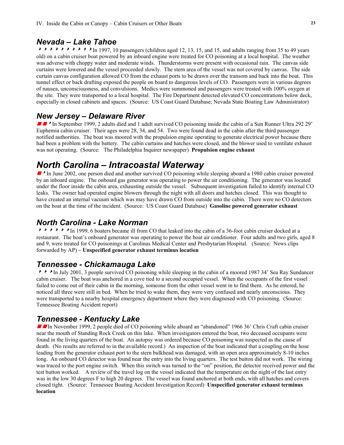#### *Nevada – Lake Tahoe*

 $\triangleright\rightarrow\rightarrow\rightarrow\rightarrow\rightarrow\rightarrow\rightarrow$  In 1997, 10 passengers (children aged 12, 13, 15, and 15, and adults ranging from 35 to 49 years old) on a cabin cruiser boat powered by an inboard engine were treated for CO poisoning at a local hospital. The weather was adverse with choppy water and moderate winds. Thunderstorms were present with occasional rain. The canvas side curtains were lowered and the vessel proceeded slowly. The stern area of the vessel was not covered by canvas. The side curtain canvas configuration allowed CO from the exhaust ports to be drawn over the transom and back into the boat. This tunnel effect or back drafting exposed the people on board to dangerous levels of CO. Passengers were in various degrees of nausea, unconsciousness, and convulsions. Medics were summoned and passengers were treated with 100% oxygen at the site. They were transported to a local hospital. The Fire Department detected elevated CO concentrations below deck, especially in closed cabinets and spaces. (Source: US Coast Guard Database; Nevada State Boating Law Administrator)

#### *New Jersey – Delaware River*

**g**  $\bullet$  In September 1999, 2 adults died and 1 adult survived CO poisoning inside the cabin of a Sun Runner Ultra 292 29' Euphemia cabin cruiser. Their ages were 28, 34, and 54. Two were found dead in the cabin after the third passenger notified authorities. The boat was moored with the propulsion engine operating to generate electrical power because there had been a problem with the battery. The cabin curtains and hatches were closed, and the blower used to ventilate exhaust was not operating. (Source: The Philadelphia Inquirer newspaper) **Propulsion engine exhaust**

# *North Carolina – Intracoastal Waterway*

In June 2002, one person died and another survived CO poisoning while sleeping aboard a 1980 cabin cruiser powered by an inboard engine. The onboard gas generator was operating to power the air conditioning. The generator was located under the floor inside the cabin area, exhausting outside the vessel. Subsequent investigation failed to identify internal CO leaks. The owner had operated engine blowers through the night with all doors and hatches closed. This was thought to have created an internal vacuum which was may have drawn CO from outside into the cabin. There were no CO detectors on the boat at the time of the incident. (Source: US Coast Guard Database) **Gasoline powered generator exhaust** 

#### *North Carolina - Lake Norman*

**88888** In 1999, 6 boaters became ill from CO that leaked into the cabin of a 36-foot cabin cruiser docked at a restaurant. The boat's onboard generator was operating to power the boat air conditioner. Four adults and two girls, aged 8 and 9, were treated for CO poisonings at Carolinas Medical Center and Presbytarian Hospital. (Source: News clips forwarded by AP) **– Unspecified generator exhaust terminus location** 

#### *Tennessee - Chickamauga Lake*

<sup>888</sup>In July 2001, 3 people survived CO poisoning while sleeping in the cabin of a moored 1987 34' Sea Ray Sundancer cabin cruiser. The boat was anchored in a cove tied to a second occupied vessel. When the occupants of the first vessel failed to come out of their cabin in the morning, someone from the other vessel went in to find them. As he entered, he noticed all three were still in bed. When he tried to wake them, they were very confused and nearly unconscious. They were transported to a nearby hospital emergency department where they were diagnosed with CO poisoning. (Source: Tennessee Boating Accident report)

#### *Tennessee - Kentucky Lake*

**g G In November 1999, 2 people died of CO poisoning while aboard an "abandoned" 1966 36' Chris Craft cabin cruiser** near the mouth of Standing Rock Creek on this lake. When investigators entered the boat, two deceased occupants were found in the living quarters of the boat. An autopsy was ordered because CO poisoning was suspected as the cause of death. (No results are referred to in the available record.) An inspection of the boat indicated that a coupling on the hose leading from the generator exhaust port to the stern bulkhead was damaged, with an open area approximately 8-10 inches long. An onboard CO detector was found near the entry into the living quarters. The test button did not work. The wiring was traced to the port engine switch. When this switch was turned to the "on" position, the detector received power and the test button worked. A review of the travel log on the vessel indicated that the temperature on the night of the last entry was in the low 30 degrees F to high 20 degrees. The vessel was found anchored at both ends, with all hatches and covers closed tight. (Source: Tennessee Boating Accident Investigation Record) **Unspecified generator exhaust terminus location**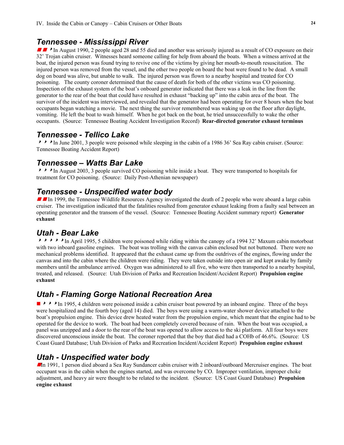#### *Tennessee - Mississippi River*

 $\blacksquare$  In August 1990, 2 people aged 28 and 55 died and another was seriously injured as a result of CO exposure on their 32' Trojan cabin cruiser. Witnesses heard someone calling for help from aboard the boats. When a witness arrived at the boat, the injured person was found trying to revive one of the victims by giving her mouth-to-mouth resuscitation. The injured person was removed from the vessel, and the other two people on board the boat were found to be dead. A small dog on board was alive, but unable to walk. The injured person was flown to a nearby hospital and treated for CO poisoning. The county coroner determined that the cause of death for both of the other victims was CO poisoning. Inspection of the exhaust system of the boat's onboard generator indicated that there was a leak in the line from the generator to the rear of the boat that could have resulted in exhaust "backing up" into the cabin area of the boat. The survivor of the incident was interviewed, and revealed that the generator had been operating for over 8 hours when the boat occupants began watching a movie. The next thing the survivor remembered was waking up on the floor after daylight, vomiting. He left the boat to wash himself. When he got back on the boat, he tried unsuccessfully to wake the other occupants. (Source: Tennessee Boating Accident Investigation Record) **Rear-directed generator exhaust terminus**

#### *Tennessee - Tellico Lake*

**888**In June 2001, 3 people were poisoned while sleeping in the cabin of a 1986 36' Sea Ray cabin cruiser. (Source: Tennessee Boating Accident Report)

#### *Tennessee – Watts Bar Lake*

<sup>888</sup>In August 2003, 3 people survived CO poisoning while inside a boat. They were transported to hospitals for treatment for CO poisoning. (Source: Daily Post-Athenian newspaper)

#### *Tennessee - Unspecified water body*

**g G In** 1999, the Tennessee Wildlife Resources Agency investigated the death of 2 people who were aboard a large cabin cruiser. The investigation indicated that the fatalities resulted from generator exhaust leaking from a faulty seal between an operating generator and the transom of the vessel. (Source: Tennessee Boating Accident summary report) **Generator exhaust**

#### *Utah - Bear Lake*

<sup>88888</sup>In April 1995, 5 children were poisoned while riding within the canopy of a 1994 32' Maxum cabin motorboat with two inboard gasoline engines. The boat was trolling with the canvas cabin enclosed but not buttoned. There were no mechanical problems identified. It appeared that the exhaust came up from the outdrives of the engines, flowing under the canvas and into the cabin where the children were riding. They were taken outside into open air and kept awake by family members until the ambulance arrived. Oxygen was administered to all five, who were then transported to a nearby hospital, treated, and released. (Source: Utah Division of Parks and Recreation Incident/Accident Report) **Propulsion engine exhaust**

### *Utah - Flaming Gorge National Recreation Area*

**B**  $\rightarrow$   $\rightarrow$  In 1995, 4 children were poisoned inside a cabin cruiser boat powered by an inboard engine. Three of the boys were hospitalized and the fourth boy (aged 14) died. The boys were using a warm-water shower device attached to the boat's propulsion engine. This device drew heated water from the propulsion engine, which meant that the engine had to be operated for the device to work. The boat had been completely covered because of rain. When the boat was occupied, a panel was unzipped and a door to the rear of the boat was opened to allow access to the ski platform. All four boys were discovered unconscious inside the boat. The coroner reported that the boy that died had a COHb of 46.6%. (Source: US Coast Guard Database; Utah Division of Parks and Recreation Incident/Accident Report) **Propulsion engine exhaust** 

### *Utah - Unspecified water body*

In 1991, 1 person died aboard a Sea Ray Sundancer cabin cruiser with 2 inboard/outboard Mercruiser engines. The boat occupant was in the cabin when the engines started, and was overcome by CO. Improper ventilation, improper choke adjustment, and heavy air were thought to be related to the incident. (Source: US Coast Guard Database) **Propulsion engine exhaust**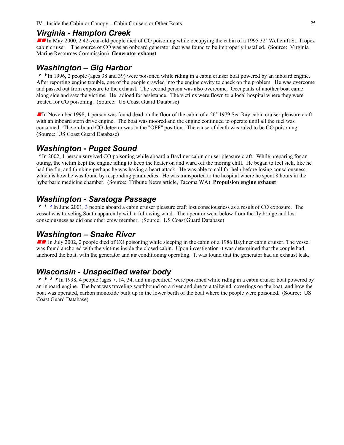#### *Virginia - Hampton Creek*

In May 2000, 2 42-year-old people died of CO poisoning while occupying the cabin of a 1995 32' Wellcraft St. Tropez cabin cruiser. The source of CO was an onboard generator that was found to be improperly installed. (Source: Virginia Marine Resources Commission) **Generator exhaust** 

#### *Washington – Gig Harbor*

<sup>88</sup>In 1996, 2 people (ages 38 and 39) were poisoned while riding in a cabin cruiser boat powered by an inboard engine. After reporting engine trouble, one of the people crawled into the engine cavity to check on the problem. He was overcome and passed out from exposure to the exhaust. The second person was also overcome. Occupants of another boat came along side and saw the victims. He radioed for assistance. The victims were flown to a local hospital where they were treated for CO poisoning. (Source: US Coast Guard Database)

g In November 1998, 1 person was found dead on the floor of the cabin of a 26' 1979 Sea Ray cabin cruiser pleasure craft with an inboard stern drive engine. The boat was moored and the engine continued to operate until all the fuel was consumed. The on-board CO detector was in the "OFF" position. The cause of death was ruled to be CO poisoning. (Source: US Coast Guard Database)

#### *Washington - Puget Sound*

<sup>8</sup>In 2002, 1 person survived CO poisoning while aboard a Bayliner cabin cruiser pleasure craft. While preparing for an outing, the victim kept the engine idling to keep the heater on and ward off the moring chill. He began to feel sick, like he had the flu, and thinking perhaps he was having a heart attack. He was able to call for help before losing consciousness, which is how he was found by responding paramedics. He was transported to the hospital where he spent 8 hours in the hyberbaric medicine chamber. (Source: Tribune News article, Tacoma WA) **Propulsion engine exhaust** 

#### *Washington - Saratoga Passage*

<sup>8</sup> <sup>8</sup> In June 2001, 3 people aboard a cabin cruiser pleasure craft lost consciousness as a result of CO exposure. The vessel was traveling South apparently with a following wind. The operator went below from the fly bridge and lost consciousness as did one other crew member. (Source: US Coast Guard Database)

#### *Washington – Snake River*

In July 2002, 2 people died of CO poisoning while sleeping in the cabin of a 1986 Bayliner cabin cruiser. The vessel was found anchored with the victims inside the closed cabin. Upon investigation it was determined that the couple had anchored the boat, with the generator and air conditioning operating. It was found that the generator had an exhaust leak.

#### *Wisconsin - Unspecified water body*

 $\triangleright$   $\triangleright$   $\triangleright$  In 1998, 4 people (ages 7, 14, 34, and unspecified) were poisoned while riding in a cabin cruiser boat powered by an inboard engine. The boat was traveling southbound on a river and due to a tailwind, coverings on the boat, and how the boat was operated, carbon monoxide built up in the lower berth of the boat where the people were poisoned. (Source: US Coast Guard Database)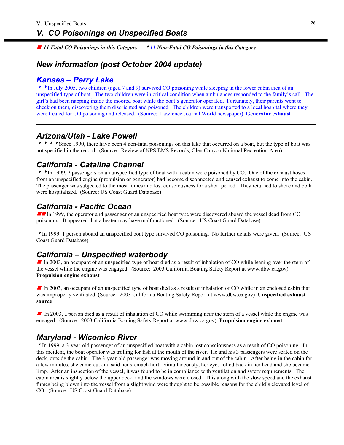<sup>g</sup> *11 Fatal CO Poisonings in this Category* 8*11 Non-Fatal CO Poisonings in this Category* 

# *New information (post October 2004 update)*

#### *Kansas – Perry Lake*

<sup>88</sup>In July 2005, two children (aged 7 and 9) survived CO poisoning while sleeping in the lower cabin area of an unspecified type of boat. The two children were in critical condition when ambulances responded to the family's call. The girl's had been napping inside the moored boat while the boat's generator operated. Fortunately, their parents went to check on them, discovering them disoriented and poisoned. The children were transported to a local hospital where they were treated for CO poisoning and released. (Source: Lawrence Journal World newspaper) **Generator exhaust** 

# *Arizona/Utah - Lake Powell*

**8888888888888** Since 1990, there have been 4 non-fatal poisonings on this lake that occurred on a boat, but the type of boat was not specified in the record. (Source: Review of NPS EMS Records, Glen Canyon National Recreation Area)

# *California - Catalina Channel*

**A** In 1999, 2 passengers on an unspecified type of boat with a cabin were poisoned by CO. One of the exhaust hoses from an unspecified engine (propulsion or generator) had become disconnected and caused exhaust to come into the cabin. The passenger was subjected to the most fumes and lost consciousness for a short period. They returned to shore and both were hospitalized. (Source: US Coast Guard Database)

# *California - Pacific Ocean*

In 1999, the operator and passenger of an unspecified boat type were discovered aboard the vessel dead from CO poisoning. It appeared that a heater may have malfunctioned. (Source: US Coast Guard Database)

<sup>8</sup>In 1999, 1 person aboard an unspecified boat type survived CO poisoning. No further details were given. (Source: US Coast Guard Database)

# *California – Unspecified waterbody*

In 2003, an occupant of an unspecified type of boat died as a result of inhalation of CO while leaning over the stern of the vessel while the engine was engaged. (Source: 2003 California Boating Safety Report at www.dbw.ca.gov) **Propulsion engine exhaust** 

In 2003, an occupant of an unspecified type of boat died as a result of inhalation of CO while in an enclosed cabin that was improperly ventilated (Source: 2003 California Boating Safety Report at www.dbw.ca.gov) **Unspecified exhaust source** 

In 2003, a person died as a result of inhalation of CO while swimming near the stern of a vessel while the engine was engaged. (Source: 2003 California Boating Safety Report at www.dbw.ca.gov) **Propulsion engine exhaust** 

# *Maryland - Wicomico River*

<sup>8</sup>In 1999, a 3-year-old passenger of an unspecified boat with a cabin lost consciousness as a result of CO poisoning. In this incident, the boat operator was trolling for fish at the mouth of the river. He and his 3 passengers were seated on the deck, outside the cabin. The 3-year-old passenger was moving around in and out of the cabin. After being in the cabin for a few minutes, she came out and said her stomach hurt. Simultaneously, her eyes rolled back in her head and she became limp. After an inspection of the vessel, it was found to be in compliance with ventilation and safety requirements. The cabin area is slightly below the upper deck, and the windows were closed. This along with the slow speed and the exhaust fumes being blown into the vessel from a slight wind were thought to be possible reasons for the child's elevated level of CO. (Source: US Coast Guard Database)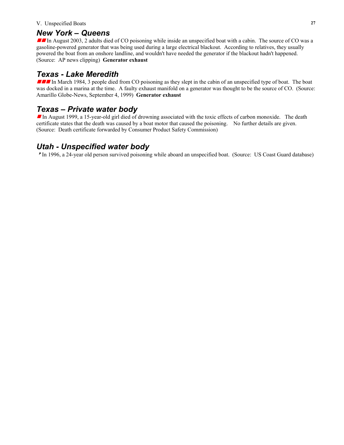#### V. Unspecified Boats **27**

#### *New York – Queens*

In August 2003, 2 adults died of CO poisoning while inside an unspecified boat with a cabin. The source of CO was a gasoline-powered generator that was being used during a large electrical blackout. According to relatives, they usually powered the boat from an onshore landline, and wouldn't have needed the generator if the blackout hadn't happened. (Source: AP news clipping) **Generator exhaust** 

#### *Texas - Lake Meredith*

**III** In March 1984, 3 people died from CO poisoning as they slept in the cabin of an unspecified type of boat. The boat was docked in a marina at the time. A faulty exhaust manifold on a generator was thought to be the source of CO. (Source: Amarillo Globe-News, September 4, 1999) **Generator exhaust**

# *Texas – Private water body*

In August 1999, a 15-year-old girl died of drowning associated with the toxic effects of carbon monoxide. The death certificate states that the death was caused by a boat motor that caused the poisoning. No further details are given. (Source: Death certificate forwarded by Consumer Product Safety Commission)

# *Utah - Unspecified water body*

<sup>8</sup>In 1996, a 24-year old person survived poisoning while aboard an unspecified boat. (Source: US Coast Guard database)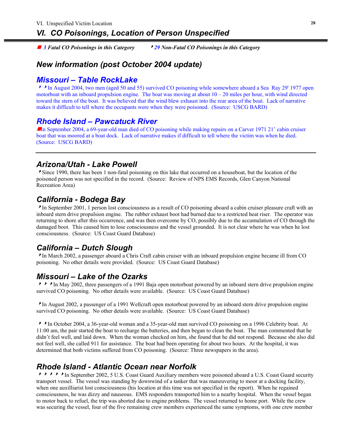$\blacksquare$  3 Fatal CO Poisonings in this Category *3 Fatal CO Poisonings in this Category* 8*29 Non-Fatal CO Poisonings in this Category* 

# *New information (post October 2004 update)*

# *Missouri – Table RockLake*

<sup>88</sup>In August 2004, two men (aged 50 and 55) survived CO poisoning while somewhere aboard a Sea Ray 29' 1977 open motorboat with an inboard propulsion engine. The boat was moving at about  $10 - 20$  miles per hour, with wind directed toward the stern of the boat. It was believed that the wind blew exhaust into the rear area of the boat. Lack of narrative makes it difficult to tell where the occupants were when they were poisoned. (Source: USCG BARD)

# *Rhode Island – Pawcatuck River*

In September 2004, a 69-year-old man died of CO poisoning while making repairs on a Carver 1971 21' cabin cruiser boat that was moored at a boat dock. Lack of narrative makes if difficult to tell where the victim was when he died. (Source: USCG BARD)

# *Arizona/Utah - Lake Powell*

Since 1990, there has been 1 non-fatal poisoning on this lake that occurred on a houseboat, but the location of the poisoned person was not specified in the record. (Source: Review of NPS EMS Records, Glen Canyon National Recreation Area)

# *California - Bodega Bay*

In September 2001, 1 person lost consciousness as a result of CO poisoning aboard a cabin cruiser pleasure craft with an inboard stern drive propulsion engine. The rubber exhaust boot had burned due to a restricted heat riser. The operator was returning to shore after this occurrence, and was then overcome by CO, possibly due to the accumulation of CO through the damaged boot. This caused him to lose consciousness and the vessel grounded. It is not clear where he was when he lost consciousness. (Source: US Coast Guard Database)

# *California – Dutch Slough*

<sup>8</sup>In March 2002, a passenger aboard a Chris Craft cabin cruiser with an inboard propulsion engine became ill from CO poisoning. No other details were provided. (Source: US Coast Guard Database)

# *Missouri – Lake of the Ozarks*

 $\triangleright$   $\triangleright$  In May 2002, three passengers of a 1991 Baja open motorboat powered by an inboard stern drive propulsion engine survived CO poisoning. No other details were available. (Source: US Coast Guard Database)

<sup>8</sup>In August 2002, a passenger of a 1991 Wellcraft open motorboat powered by an inboard stern drive propulsion engine survived CO poisoning. No other details were available. (Source: US Coast Guard Database)

<sup>88</sup>In October 2004, a 36-year-old woman and a 35-year-old man survived CO poisoning on a 1996 Celebrity boat. At 11:00 am, the pair started the boat to recharge the batteries, and then began to clean the boat. The man commented that he didn't feel well, and laid down. When the woman checked on him, she found that he did not respond. Because she also did not feel well, she called 911 for assistance. The boat had been operating for about two hours. At the hospital, it was determined that both victims suffered from CO poisoning. (Source: Three newspapers in the area).

# *Rhode Island - Atlantic Ocean near Norfolk*

**ABBASES In September 2002, 5 U.S. Coast Guard Auxiliary members were poisoned aboard a U.S. Coast Guard security** transport vessel. The vessel was standing by downwind of a tanker that was maneuvering to moor at a docking facility, when one auxilliarist lost consciousness (his location at this time was not specified in the report). When he regained consciousness, he was dizzy and nauseous. EMS responders transported him to a nearby hospital. When the vessel began to motor back to refuel, the trip was aborted due to engine problems. The vessel returned to home port. While the crew was securing the vessel, four of the five remaining crew members experienced the same symptoms, with one crew member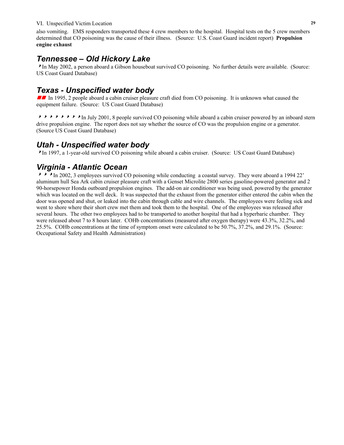#### VI. Unspecified Victim Location **29**

also vomiting. EMS responders transported these 4 crew members to the hospital. Hospital tests on the 5 crew members determined that CO poisoning was the cause of their illness. (Source: U.S. Coast Guard incident report) **Propulsion engine exhaust**

# *Tennessee – Old Hickory Lake*

<sup>8</sup>In May 2002, a person aboard a Gibson houseboat survived CO poisoning. No further details were available. (Source: US Coast Guard Database)

# *Texas - Unspecified water body*

In 1995, 2 people aboard a cabin cruiser pleasure craft died from CO poisoning. It is unknown what caused the equipment failure. (Source: US Coast Guard Database)

A B B B B B B B B B and  $\bullet \bullet \bullet \bullet$  In July 2001, 8 people survived CO poisoning while aboard a cabin cruiser powered by an inboard stern drive propulsion engine. The report does not say whether the source of CO was the propulsion engine or a generator. (Source US Coast Guard Database)

# *Utah - Unspecified water body*

<sup>8</sup>In 1997, a 1-year-old survived CO poisoning while aboard a cabin cruiser. (Source: US Coast Guard Database)

# *Virginia - Atlantic Ocean*

**888**In 2002, 3 employees survived CO poisoning while conducting a coastal survey. They were aboard a 1994 22' aluminum hull Sea Ark cabin cruiser pleasure craft with a Genset Microlite 2800 series gasoline-powered generator and 2 90-horsepower Honda outboard propulsion engines. The add-on air conditioner was being used, powered by the generator which was located on the well deck. It was suspected that the exhaust from the generator either entered the cabin when the door was opened and shut, or leaked into the cabin through cable and wire channels. The employees were feeling sick and went to shore where their short crew met them and took them to the hospital. One of the employees was released after several hours. The other two employees had to be transported to another hospital that had a hyperbaric chamber. They were released about 7 to 8 hours later. COHb concentrations (measured after oxygen therapy) were 43.3%, 32.2%, and 25.5%. COHb concentrations at the time of symptom onset were calculated to be 50.7%, 37.2%, and 29.1%. (Source: Occupational Safety and Health Administration)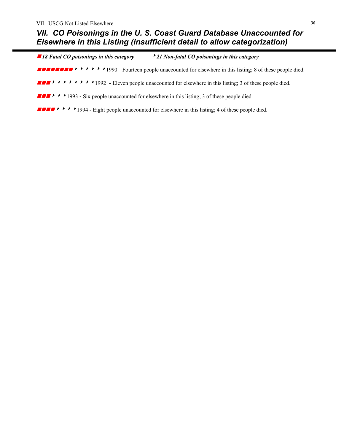■ 18 Fatal CO poisonings in this category *18 Fatal CO poisonings in this category* 8*21 Non-fatal CO poisonings in this category*

**EXECUTE:**  $\rightarrow \rightarrow \rightarrow \rightarrow \rightarrow 1990$  - Fourteen people unaccounted for elsewhere in this listing; 8 of these people died.

**FIGHT**  $\rightarrow$   $\rightarrow$   $\rightarrow$   $\rightarrow$   $\rightarrow$   $\rightarrow$   $\rightarrow$  1992 - Eleven people unaccounted for elsewhere in this listing; 3 of these people died.

 $\blacksquare$   $\blacktriangleright$   $\blacktriangleright$  1993 - Six people unaccounted for elsewhere in this listing; 3 of these people died

**FIFM**  $\rightarrow$   $\rightarrow$   $\rightarrow$  1994 - Eight people unaccounted for elsewhere in this listing; 4 of these people died.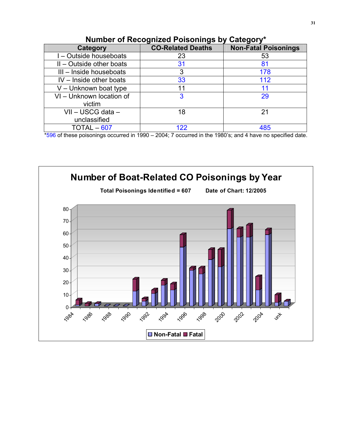| Category                   | <b>CO-Related Deaths</b> | <b>Non-Fatal Poisonings</b> |  |
|----------------------------|--------------------------|-----------------------------|--|
| I - Outside houseboats     | 23                       | 53                          |  |
| $II$ – Outside other boats | 31                       | 81                          |  |
| III - Inside houseboats    | 3                        | 178                         |  |
| $IV - Inside other boats$  | 33                       | 112                         |  |
| V - Unknown boat type      |                          |                             |  |
| VI - Unknown location of   |                          | 29                          |  |
| victim                     |                          |                             |  |
| VII - USCG data -          | 18                       | 21                          |  |
| unclassified               |                          |                             |  |
| $TOTAL-607$                | 122                      | 485                         |  |

# **Number of Recognized Poisonings by Category\***

\*596 of these poisonings occurred in 1990 – 2004; 7 occurred in the 1980's; and 4 have no specified date.